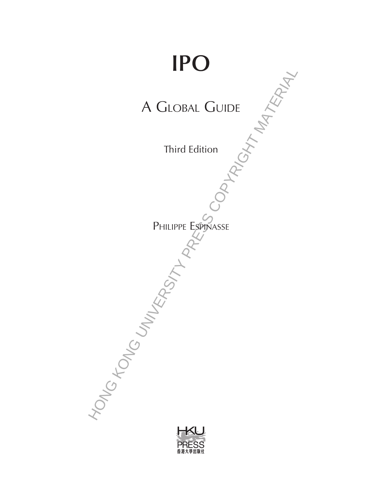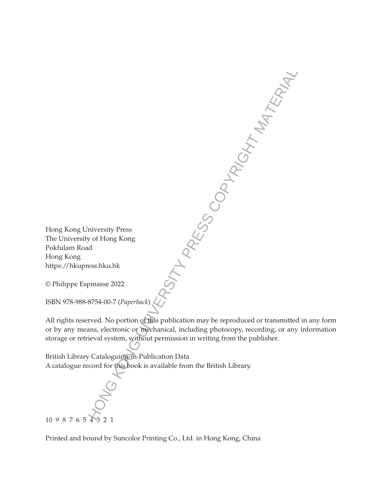Hong Kong University Press The University of Hong Kong Pokfulam Road Hong Kong https://hkupress.hku.hk

© Philippe Espinasse 2022

ISBN 978-988-8754-00-7 (*Paperback*) N PRESS COPYRIGHT MATERIAL

All rights reserved. No portion of this publication may be reproduced or transmitted in any form or by any means, electronic or mechanical, including photocopy, recording, or any information storage or retrieval system, without permission in writing from the publisher.

British Library Cataloguing-in-Publication Data A catalogue record for this book is available from the British Library.

10 9 8 7 6 5

Printed and bound by Suncolor Printing Co., Ltd. in Hong Kong, China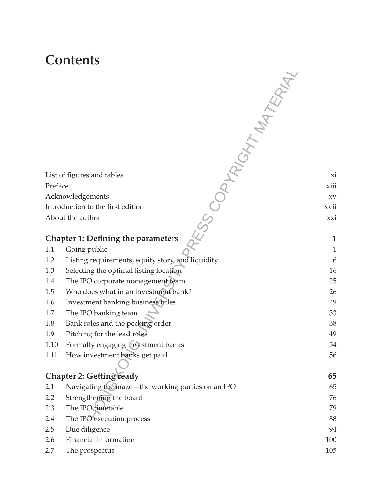# **Contents**

| List of figures and tables |                                                        | xi           |
|----------------------------|--------------------------------------------------------|--------------|
| Preface                    |                                                        | xiii         |
|                            | Acknowledgements                                       | <b>XV</b>    |
|                            | Introduction to the first edition                      | xvii         |
|                            | About the author                                       | xxi          |
|                            | RESS COPHOLITIES<br>Chapter 1: Defining the parameters | 1            |
| $1.1\,$                    | Going public                                           | $\mathbf{1}$ |
| 1.2                        | Listing requirements, equity story, and liquidity      | 6            |
| 1.3                        | Selecting the optimal listing location                 | 16           |
| 1.4                        | The IPO corporate management team                      | 25           |
| 1.5                        | Who does what in an investment bank?                   | 26           |
| 1.6                        | Investment banking business titles                     | 29           |
| 1.7                        | The IPO banking team                                   | 33           |
| 1.8                        | Bank roles and the pecking order                       | 38           |
| 1.9                        | Pitching for the lead roles                            | 49           |
| 1.10                       | Formally engaging investment banks                     | 54           |
| 1.11                       | How investment banks get paid                          | 56           |
|                            |                                                        |              |
|                            | Chapter 2: Getting ready                               | 65           |
| 2.1                        | Navigating the maze-the working parties on an IPO      | 65           |
| 2.2                        | Strengthening the board                                | 76           |
| 2.3                        | The IPO timetable                                      | 79           |
| 2.4                        | The IPO execution process                              | 88           |
| 2.5                        | Due diligence                                          | 94           |
| 2.6                        | Financial information                                  | 100          |
| 2.7                        | The prospectus                                         | 105          |
|                            |                                                        |              |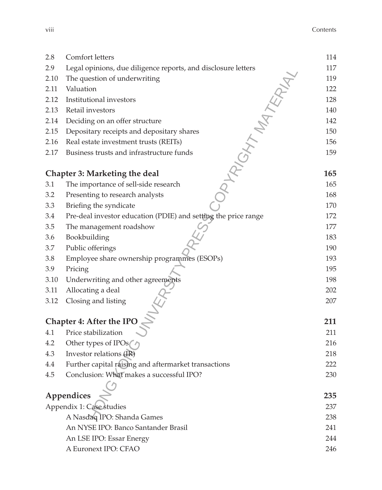| 2.8                      | Comfort letters                                                | 114 |
|--------------------------|----------------------------------------------------------------|-----|
| 2.9                      | Legal opinions, due diligence reports, and disclosure letters  | 117 |
| 2.10                     | The question of underwriting                                   | 119 |
| 2.11                     | Valuation                                                      | 122 |
| 2.12                     | Institutional investors                                        | 128 |
| 2.13                     | Retail investors                                               | 140 |
| 2.14                     | Deciding on an offer structure                                 | 142 |
| 2.15                     | Depositary receipts and depositary shares                      | 150 |
| 2.16                     | Real estate investment trusts (REITs)                          | 156 |
| 2.17                     | OPTRIGHTMATERIAL<br>Business trusts and infrastructure funds   | 159 |
|                          |                                                                |     |
|                          | Chapter 3: Marketing the deal                                  | 165 |
| 3.1                      | The importance of sell-side research                           | 165 |
| 3.2                      | Presenting to research analysts                                | 168 |
| 3.3                      | Briefing the syndicate                                         | 170 |
| 3.4                      | Pre-deal investor education (PDIE) and setting the price range | 172 |
| 3.5                      | The management roadshow                                        | 177 |
| 3.6                      | Bookbuilding                                                   | 183 |
| 3.7                      | Public offerings                                               | 190 |
| 3.8                      | Employee share ownership programmes (ESOPs)                    | 193 |
| 3.9                      | Pricing                                                        | 195 |
| 3.10                     | Underwriting and other agreements                              | 198 |
| 3.11                     | Allocating a deal                                              | 202 |
| 3.12                     | Closing and listing                                            | 207 |
|                          |                                                                |     |
|                          | Chapter 4: After the IPO                                       | 211 |
| 4.1                      | Price stabilization                                            | 211 |
| 4.2                      | Other types of IPOs                                            | 216 |
| 4.3                      | Investor relations (IR)                                        | 218 |
| 4.4                      | Further capital raising and aftermarket transactions           | 222 |
| 4.5                      | Conclusion: What makes a successful IPO?                       | 230 |
|                          |                                                                |     |
|                          | Appendices                                                     | 235 |
| Appendix 1: Case studies |                                                                | 237 |
|                          | A Nasdaq IPO: Shanda Games                                     | 238 |
|                          | An NYSE IPO: Banco Santander Brasil                            | 241 |
|                          | An LSE IPO: Essar Energy                                       | 244 |
|                          | A Euronext IPO: CFAO                                           | 246 |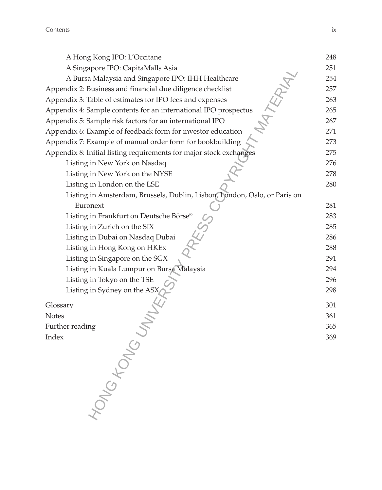| A Hong Kong IPO: L'Occitane                                                  | 248 |
|------------------------------------------------------------------------------|-----|
| A Singapore IPO: CapitaMalls Asia                                            | 251 |
| A Bursa Malaysia and Singapore IPO: IHH Healthcare                           | 254 |
| <b>ITERNA!</b><br>Appendix 2: Business and financial due diligence checklist | 257 |
| Appendix 3: Table of estimates for IPO fees and expenses                     | 263 |
| Appendix 4: Sample contents for an international IPO prospectus              | 265 |
| Appendix 5: Sample risk factors for an international IPO                     | 267 |
| Appendix 6: Example of feedback form for investor education                  | 271 |
| Appendix 7: Example of manual order form for bookbuilding                    | 273 |
| Appendix 8: Initial listing requirements for major stock exchanges           |     |
| Listing in New York on Nasdaq                                                | 276 |
| Listing in New York on the NYSE                                              | 278 |
| Listing in London on the LSE                                                 | 280 |
| Listing in Amsterdam, Brussels, Dublin, Lisbon, London, Oslo, or Paris on    |     |
| Euronext                                                                     | 281 |
| Listing in Frankfurt on Deutsche Börse®                                      | 283 |
| Listing in Zurich on the SIX                                                 | 285 |
| Listing in Dubai on Nasdaq Dubai                                             | 286 |
| Listing in Hong Kong on HKEx                                                 | 288 |
| Listing in Singapore on the SGX                                              | 291 |
| Listing in Kuala Lumpur on Bursa Malaysia                                    | 294 |
| Listing in Tokyo on the TSE                                                  | 296 |
| Listing in Sydney on the ASX                                                 | 298 |
| Glossary                                                                     | 301 |
| <b>Notes</b>                                                                 | 361 |
| Further reading                                                              | 365 |
| Index                                                                        | 369 |
|                                                                              |     |
|                                                                              |     |
|                                                                              |     |
|                                                                              |     |
|                                                                              |     |
| ONG KONGU                                                                    |     |
|                                                                              |     |
|                                                                              |     |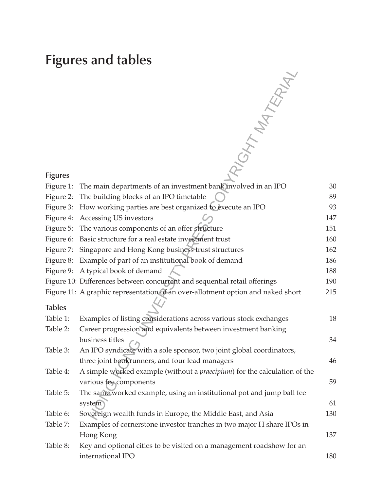# **Figures and tables**

|                | RIGHT MATERIAL                                                                    |     |
|----------------|-----------------------------------------------------------------------------------|-----|
| <b>Figures</b> |                                                                                   |     |
| Figure 1:      | The main departments of an investment bank involved in an IPO                     | 30  |
| Figure 2:      | The building blocks of an IPO timetable                                           | 89  |
| Figure 3:      | How working parties are best organized to execute an IPO                          | 93  |
| Figure 4:      | Accessing US investors                                                            | 147 |
| Figure 5:      | The various components of an offer structure                                      | 151 |
| Figure 6:      | Basic structure for a real estate investment trust                                | 160 |
| Figure 7:      | Singapore and Hong Kong business trust structures                                 | 162 |
| Figure 8:      | Example of part of an institutional book of demand                                | 186 |
| Figure 9:      | A typical book of demand                                                          | 188 |
|                | Figure 10: Differences between concurrent and sequential retail offerings         | 190 |
|                | Figure 11: A graphic representation of an over-allotment option and naked short   | 215 |
| <b>Tables</b>  |                                                                                   |     |
| Table 1:       | Examples of listing considerations across various stock exchanges                 | 18  |
| Table 2:       | Career progression and equivalents between investment banking                     |     |
|                | business titles                                                                   | 34  |
| Table 3:       | An IPO syndicate with a sole sponsor, two joint global coordinators,              |     |
|                | three joint bookrunners, and four lead managers                                   | 46  |
| Table 4:       | A simple worked example (without a <i>praecipium</i> ) for the calculation of the |     |
|                | various fee components                                                            | 59  |
| Table 5:       | The same worked example, using an institutional pot and jump ball fee             |     |
|                | system                                                                            | 61  |
| Table 6:       | Sovereign wealth funds in Europe, the Middle East, and Asia                       | 130 |
| Table 7:       | Examples of cornerstone investor tranches in two major H share IPOs in            |     |
|                | Hong Kong                                                                         | 137 |
| Table 8:       | Key and optional cities to be visited on a management roadshow for an             |     |
|                | international IPO                                                                 | 180 |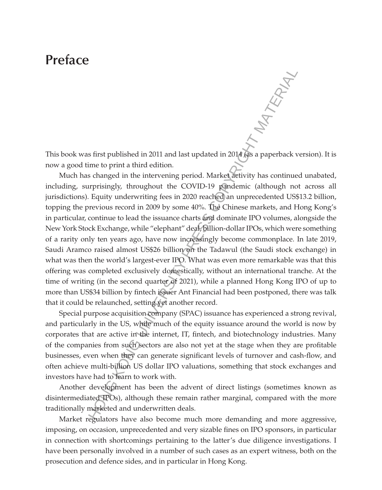# **Preface**

This book was first published in 2011 and last updated in 2014 (as a paperback version). It is now a good time to print a third edition.

Much has changed in the intervening period. Market activity has continued unabated, including, surprisingly, throughout the COVID-19 pandemic (although not across all jurisdictions). Equity underwriting fees in 2020 reached an unprecedented US\$13.2 billion, topping the previous record in 2009 by some 40%. The Chinese markets, and Hong Kong's in particular, continue to lead the issuance charts and dominate IPO volumes, alongside the New York Stock Exchange, while "elephant" deal, billion-dollar IPOs, which were something of a rarity only ten years ago, have now increasingly become commonplace. In late 2019, Saudi Aramco raised almost US\$26 billion on the Tadawul (the Saudi stock exchange) in what was then the world's largest-ever IPO. What was even more remarkable was that this offering was completed exclusively domestically, without an international tranche. At the time of writing (in the second quarter of 2021), while a planned Hong Kong IPO of up to more than US\$34 billion by fintech issuer Ant Financial had been postponed, there was talk that it could be relaunched, setting yet another record. So first published in 2011 and last updated in 2014 (as a paperback vime to print a third edition.<br>
How the paperback vime to print a third edition.<br>
Equity underversing period. Market activity has continue transmissingly,

Special purpose acquisition company (SPAC) issuance has experienced a strong revival, and particularly in the US, while much of the equity issuance around the world is now by corporates that are active in the internet, IT, fintech, and biotechnology industries. Many of the companies from such sectors are also not yet at the stage when they are profitable businesses, even when they can generate significant levels of turnover and cash-flow, and often achieve multi-billion US dollar IPO valuations, something that stock exchanges and investors have had to learn to work with.

Another development has been the advent of direct listings (sometimes known as disintermediated IPOs), although these remain rather marginal, compared with the more traditionally marketed and underwritten deals.

Market regulators have also become much more demanding and more aggressive, imposing, on occasion, unprecedented and very sizable fines on IPO sponsors, in particular in connection with shortcomings pertaining to the latter's due diligence investigations. I have been personally involved in a number of such cases as an expert witness, both on the prosecution and defence sides, and in particular in Hong Kong.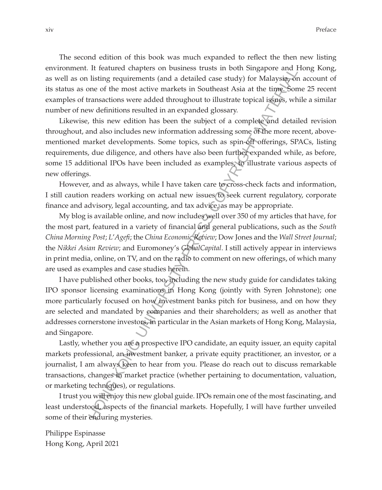The second edition of this book was much expanded to reflect the then new listing environment. It featured chapters on business trusts in both Singapore and Hong Kong, as well as on listing requirements (and a detailed case study) for Malaysia, on account of its status as one of the most active markets in Southeast Asia at the time. Some 25 recent examples of transactions were added throughout to illustrate topical issues, while a similar number of new definitions resulted in an expanded glossary.

Likewise, this new edition has been the subject of a complete and detailed revision throughout, and also includes new information addressing some of the more recent, abovementioned market developments. Some topics, such as spin-off offerings, SPACs, listing requirements, due diligence, and others have also been further expanded while, as before, some 15 additional IPOs have been included as examples, to illustrate various aspects of new offerings. It reatured chapters on business rusts in both Singapore and It reating chapters in the most size in the distingrequirements (and a detailed case study) for Malaysig, or<br>me of the most active markets in Southeast Asia at

However, and as always, while I have taken care to cross-check facts and information, I still caution readers working on actual new issues to seek current regulatory, corporate finance and advisory, legal accounting, and tax advice, as may be appropriate.

My blog is available online, and now includes well over 350 of my articles that have, for the most part, featured in a variety of financial and general publications, such as the *South China Morning Post*; *L*'*Agefi*; the *China Economic Review*; Dow Jones and the *Wall Street Journal*; the *Nikkei Asian Review*; and Euromoney's *GlobalCapital*. I still actively appear in interviews in print media, online, on TV, and on the radio to comment on new offerings, of which many are used as examples and case studies herein.

I have published other books, too, including the new study guide for candidates taking IPO sponsor licensing examinations in Hong Kong (jointly with Syren Johnstone); one more particularly focused on how investment banks pitch for business, and on how they are selected and mandated by companies and their shareholders; as well as another that addresses cornerstone investors, in particular in the Asian markets of Hong Kong, Malaysia, and Singapore.

Lastly, whether you are a prospective IPO candidate, an equity issuer, an equity capital markets professional, an investment banker, a private equity practitioner, an investor, or a journalist, I am always keen to hear from you. Please do reach out to discuss remarkable transactions, changes in market practice (whether pertaining to documentation, valuation, or marketing techniques), or regulations.

I trust you will enjoy this new global guide. IPOs remain one of the most fascinating, and least understood, aspects of the financial markets. Hopefully, I will have further unveiled some of their enduring mysteries.

Philippe Espinasse Hong Kong, April 2021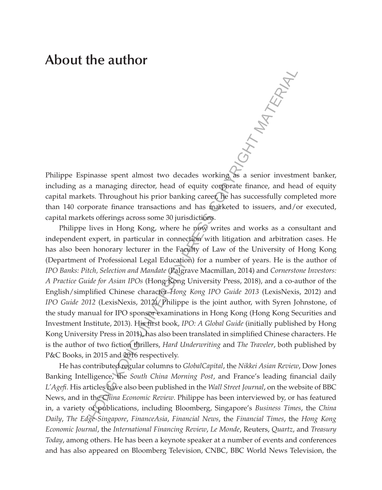# **About the author**

Philippe Espinasse spent almost two decades working as a senior investment banker, including as a managing director, head of equity corporate finance, and head of equity capital markets. Throughout his prior banking career, he has successfully completed more than 140 corporate finance transactions and has marketed to issuers, and/or executed, capital markets offerings across some 30 jurisdictions. **GATTING KARAL** 

Philippe lives in Hong Kong, where he now writes and works as a consultant and independent expert, in particular in connection with litigation and arbitration cases. He has also been honorary lecturer in the Faculty of Law of the University of Hong Kong (Department of Professional Legal Education) for a number of years. He is the author of *IPO Banks: Pitch, Selection and Mandate* (Palgrave Macmillan, 2014) and *Cornerstone Investors: A Practice Guide for Asian IPOs* (Hong Kong University Press, 2018), and a co-author of the English/simplified Chinese character *Hong Kong IPO Guide 2013* (LexisNexis, 2012) and *IPO Guide 2012* (LexisNexis, 2012). Philippe is the joint author, with Syren Johnstone, of the study manual for IPO sponsor examinations in Hong Kong (Hong Kong Securities and Investment Institute, 2013). His first book, *IPO: A Global Guide* (initially published by Hong Kong University Press in 2011), has also been translated in simplified Chinese characters. He is the author of two fiction thrillers, *Hard Underwriting* and *The Traveler*, both published by P&C Books, in 2015 and 2016 respectively.

He has contributed regular columns to *GlobalCapital*, the *Nikkei Asian Review*, Dow Jones Banking Intelligence, the *South China Morning Post*, and France's leading financial daily *L'Agefi*. His articles have also been published in the *Wall Street Journal*, on the website of BBC News, and in the *China Economic Review*. Philippe has been interviewed by, or has featured in, a variety of publications, including Bloomberg, Singapore's *Business Times*, the *China Daily*, *The Edge Singapore*, *FinanceAsia*, *Financial News*, the *Financial Times*, the *Hong Kong Economic Journal*, the *International Financing Review*, *Le Monde*, Reuters, *Quartz*, and *Treasury Today*, among others. He has been a keynote speaker at a number of events and conferences and has also appeared on Bloomberg Television, CNBC, BBC World News Television, the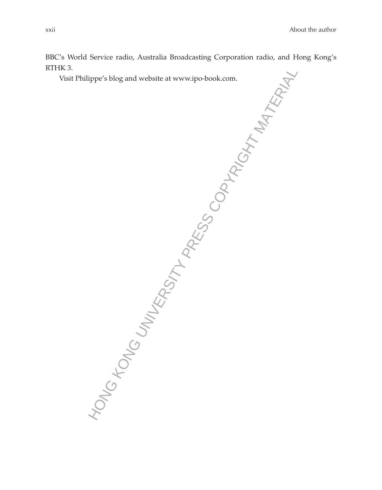BBC's World Service radio, Australia Broadcasting Corporation radio, and Hong Kong's RTHK 3.

Visit Philippe's blog and website at www.ipo-book.com. HONG KONG UNIVERSITY PRESS COPYRIGHT MATERIAL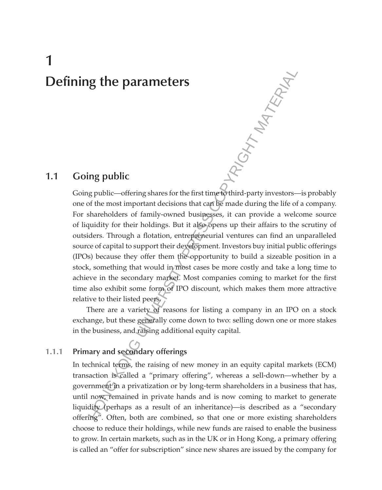# **1 Defining the parameters**

## **1.1 Going public**

Going public—offering shares for the first time to third-party investors—is probably one of the most important decisions that can be made during the life of a company. For shareholders of family-owned businesses, it can provide a welcome source of liquidity for their holdings. But it also opens up their affairs to the scrutiny of outsiders. Through a flotation, entrepreneurial ventures can find an unparalleled source of capital to support their development. Investors buy initial public offerings (IPOs) because they offer them the opportunity to build a sizeable position in a stock, something that would in most cases be more costly and take a long time to achieve in the secondary market. Most companies coming to market for the first time also exhibit some form of IPO discount, which makes them more attractive relative to their listed peers. HONT MATERNAL

There are a variety of reasons for listing a company in an IPO on a stock exchange, but these generally come down to two: selling down one or more stakes in the business, and raising additional equity capital.

# **1.1.1 Primary and secondary offerings**

In technical terms, the raising of new money in an equity capital markets (ECM) transaction is called a "primary offering", whereas a sell-down—whether by a government in a privatization or by long-term shareholders in a business that has, until now, remained in private hands and is now coming to market to generate liquidity (perhaps as a result of an inheritance)—is described as a "secondary offering". Often, both are combined, so that one or more existing shareholders choose to reduce their holdings, while new funds are raised to enable the business to grow. In certain markets, such as in the UK or in Hong Kong, a primary offering is called an "offer for subscription" since new shares are issued by the company for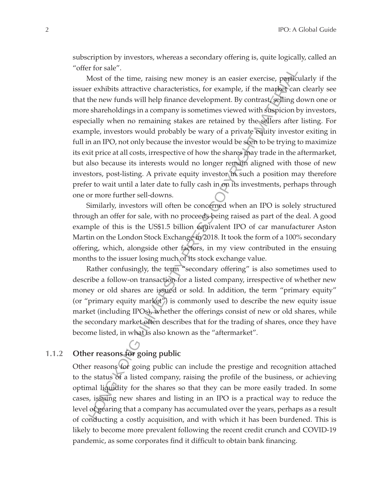subscription by investors, whereas a secondary offering is, quite logically, called an "offer for sale".

Most of the time, raising new money is an easier exercise, particularly if the issuer exhibits attractive characteristics, for example, if the market can clearly see that the new funds will help finance development. By contrast/selling down one or more shareholdings in a company is sometimes viewed with suspicion by investors, especially when no remaining stakes are retained by the sellers after listing. For example, investors would probably be wary of a private equity investor exiting in full in an IPO, not only because the investor would be seen to be trying to maximize its exit price at all costs, irrespective of how the shares may trade in the aftermarket, but also because its interests would no longer remain aligned with those of new investors, post-listing. A private equity investor in such a position may therefore prefer to wait until a later date to fully cash in on its investments, perhaps through one or more further sell-downs. r for sale<br>
The material controls of the time, raising new money is an easier exercise, perfect<br>
rexhibits attractive characteristics, for example, if the marker can<br>
the new funds will help finance development. By contra

Similarly, investors will often be concerned when an IPO is solely structured through an offer for sale, with no proceeds being raised as part of the deal. A good example of this is the US\$1.5 billion equivalent IPO of car manufacturer Aston Martin on the London Stock Exchange in 2018. It took the form of a 100% secondary offering, which, alongside other factors, in my view contributed in the ensuing months to the issuer losing much of its stock exchange value.

Rather confusingly, the term "secondary offering" is also sometimes used to describe a follow-on transaction for a listed company, irrespective of whether new money or old shares are issued or sold. In addition, the term "primary equity" (or "primary equity market") is commonly used to describe the new equity issue market (including IPOs), whether the offerings consist of new or old shares, while the secondary market often describes that for the trading of shares, once they have become listed, in what is also known as the "aftermarket".

#### **1.1.2 Other reasons for going public**

Other reasons for going public can include the prestige and recognition attached to the status of a listed company, raising the profile of the business, or achieving optimal liquidity for the shares so that they can be more easily traded. In some cases, issuing new shares and listing in an IPO is a practical way to reduce the level of gearing that a company has accumulated over the years, perhaps as a result of conducting a costly acquisition, and with which it has been burdened. This is likely to become more prevalent following the recent credit crunch and COVID-19 pandemic, as some corporates find it difficult to obtain bank financing.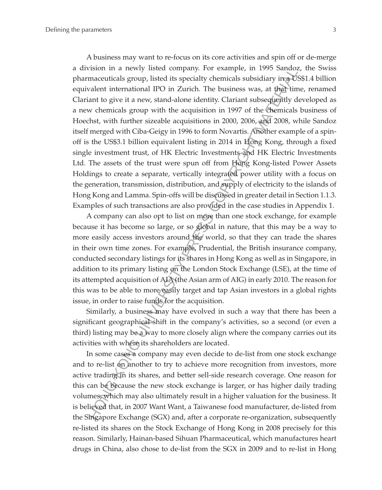A business may want to re-focus on its core activities and spin off or de-merge a division in a newly listed company. For example, in 1995 Sandoz, the Swiss pharmaceuticals group, listed its specialty chemicals subsidiary in a US\$1.4 billion equivalent international IPO in Zurich. The business was, at that time, renamed Clariant to give it a new, stand-alone identity. Clariant subsequently developed as a new chemicals group with the acquisition in 1997 of the chemicals business of Hoechst, with further sizeable acquisitions in 2000, 2006, and 2008, while Sandoz itself merged with Ciba-Geigy in 1996 to form Novartis. Another example of a spinoff is the US\$3.1 billion equivalent listing in 2014 in Hong Kong, through a fixed single investment trust, of HK Electric Investments and HK Electric Investments Ltd. The assets of the trust were spun off from Hong Kong-listed Power Assets Holdings to create a separate, vertically integrated power utility with a focus on the generation, transmission, distribution, and supply of electricity to the islands of Hong Kong and Lamma. Spin-offs will be discussed in greater detail in Section 1.1.3. Examples of such transactions are also provided in the case studies in Appendix 1. Exist m a newly listed company. For example, m 1999 Snatocon in a newly here apply to the material as group, listed its specialty chemicals subsidiary in  $\Phi$ Unit ant to give it a new, stand-alone identity. Clariant subse

A company can also opt to list on more than one stock exchange, for example because it has become so large, or so global in nature, that this may be a way to more easily access investors around the world, so that they can trade the shares in their own time zones. For example, Prudential, the British insurance company, conducted secondary listings for its shares in Hong Kong as well as in Singapore, in addition to its primary listing on the London Stock Exchange (LSE), at the time of its attempted acquisition of AIA (the Asian arm of AIG) in early 2010. The reason for this was to be able to more easily target and tap Asian investors in a global rights issue, in order to raise funds for the acquisition.

Similarly, a business may have evolved in such a way that there has been a significant geographical shift in the company's activities, so a second (or even a third) listing may be a way to more closely align where the company carries out its activities with where its shareholders are located.

In some cases a company may even decide to de-list from one stock exchange and to re-list on another to try to achieve more recognition from investors, more active trading in its shares, and better sell-side research coverage. One reason for this can be because the new stock exchange is larger, or has higher daily trading volumes, which may also ultimately result in a higher valuation for the business. It is believed that, in 2007 Want Want, a Taiwanese food manufacturer, de-listed from the Singapore Exchange (SGX) and, after a corporate re-organization, subsequently re-listed its shares on the Stock Exchange of Hong Kong in 2008 precisely for this reason. Similarly, Hainan-based Sihuan Pharmaceutical, which manufactures heart drugs in China, also chose to de-list from the SGX in 2009 and to re-list in Hong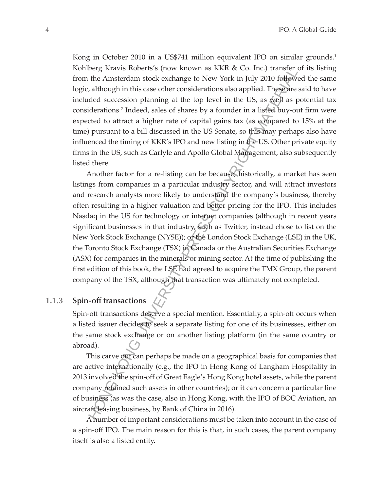Kong in October 2010 in a US\$741 million equivalent IPO on similar grounds.<sup>1</sup> Kohlberg Kravis Roberts's (now known as KKR & Co. Inc.) transfer of its listing from the Amsterdam stock exchange to New York in July 2010 followed the same logic, although in this case other considerations also applied. These are said to have included succession planning at the top level in the US, as well as potential tax considerations.2 Indeed, sales of shares by a founder in a listed buy-out firm were expected to attract a higher rate of capital gains tax (as compared to 15% at the time) pursuant to a bill discussed in the US Senate, so this may perhaps also have influenced the timing of KKR's IPO and new listing in the US. Other private equity firms in the US, such as Carlyle and Apollo Global Management, also subsequently listed there.

Another factor for a re-listing can be because, historically, a market has seen listings from companies in a particular industry sector, and will attract investors and research analysts more likely to understand the company's business, thereby often resulting in a higher valuation and better pricing for the IPO. This includes Nasdaq in the US for technology or internet companies (although in recent years significant businesses in that industry, such as Twitter, instead chose to list on the New York Stock Exchange (NYSE)); or the London Stock Exchange (LSE) in the UK, the Toronto Stock Exchange (TSX) in Canada or the Australian Securities Exchange (ASX) for companies in the minerals or mining sector. At the time of publishing the first edition of this book, the LSE had agreed to acquire the TMX Group, the parent company of the TSX, although that transaction was ultimately not completed. berg Kravis Konerts is (now known as KAK & Co. inc.) transfer<br>and Amsterdam stock exchange to New York in July 2010 follows, although in this case other considerations also applied. The<br>gcare ded succession planning at the

#### **1.1.3 Spin-off transactions**

Spin-off transactions deserve a special mention. Essentially, a spin-off occurs when a listed issuer decides to seek a separate listing for one of its businesses, either on the same stock exchange or on another listing platform (in the same country or abroad).

This carve out can perhaps be made on a geographical basis for companies that are active internationally (e.g., the IPO in Hong Kong of Langham Hospitality in 2013 involved the spin-off of Great Eagle's Hong Kong hotel assets, while the parent company retained such assets in other countries); or it can concern a particular line of business (as was the case, also in Hong Kong, with the IPO of BOC Aviation, an aircraft leasing business, by Bank of China in 2016).

A number of important considerations must be taken into account in the case of a spin-off IPO. The main reason for this is that, in such cases, the parent company itself is also a listed entity.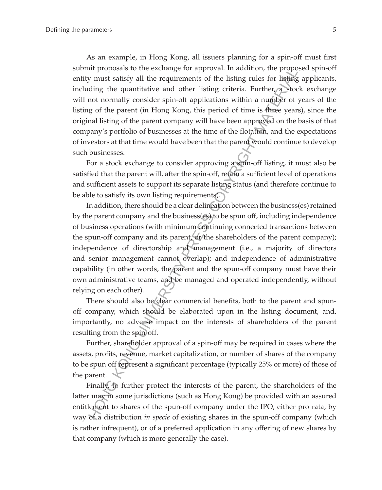As an example, in Hong Kong, all issuers planning for a spin-off must first submit proposals to the exchange for approval. In addition, the proposed spin-off entity must satisfy all the requirements of the listing rules for listing applicants, including the quantitative and other listing criteria. Further, a stock exchange will not normally consider spin-off applications within a number of years of the listing of the parent (in Hong Kong, this period of time is three years), since the original listing of the parent company will have been approved on the basis of that company's portfolio of businesses at the time of the flotation, and the expectations of investors at that time would have been that the parent would continue to develop such businesses.

For a stock exchange to consider approving a spin-off listing, it must also be satisfied that the parent will, after the spin-off, retain a sufficient level of operations and sufficient assets to support its separate listing status (and therefore continue to be able to satisfy its own listing requirements).

In addition, there should be a clear delineation between the business(es) retained by the parent company and the business(es) to be spun off, including independence of business operations (with minimum continuing connected transactions between the spun-off company and its parent, or the shareholders of the parent company); independence of directorship and management (i.e., a majority of directors and senior management cannot overlap); and independence of administrative capability (in other words, the parent and the spun-off company must have their own administrative teams, and be managed and operated independently, without relying on each other). it proposals to the exchange for approval. In addition, the proposal<br>of the significant in the signification is y must satisfy all the requirements of the listing rutes for listing<br>ding the quantitative and other listing

There should also be clear commercial benefits, both to the parent and spunoff company, which should be elaborated upon in the listing document, and, importantly, no adverse impact on the interests of shareholders of the parent resulting from the spin-off.

Further, shareholder approval of a spin-off may be required in cases where the assets, profits, revenue, market capitalization, or number of shares of the company to be spun off represent a significant percentage (typically 25% or more) of those of the parent.  $\forall$ 

Finally, to further protect the interests of the parent, the shareholders of the latter may in some jurisdictions (such as Hong Kong) be provided with an assured entitlement to shares of the spun-off company under the IPO, either pro rata, by way of a distribution *in specie* of existing shares in the spun-off company (which is rather infrequent), or of a preferred application in any offering of new shares by that company (which is more generally the case).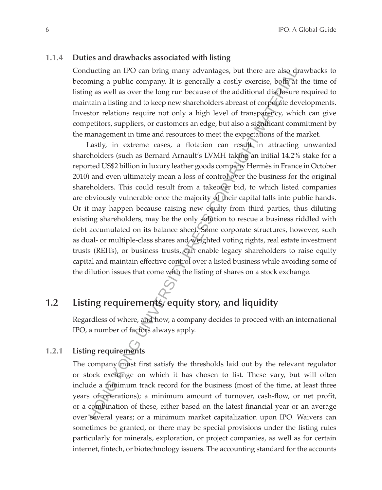#### **1.1.4 Duties and drawbacks associated with listing**

Conducting an IPO can bring many advantages, but there are also drawbacks to becoming a public company. It is generally a costly exercise, both at the time of listing as well as over the long run because of the additional disclosure required to maintain a listing and to keep new shareholders abreast of corporate developments. Investor relations require not only a high level of transparency, which can give competitors, suppliers, or customers an edge, but also a significant commitment by the management in time and resources to meet the expectations of the market.

Lastly, in extreme cases, a flotation can result in attracting unwanted shareholders (such as Bernard Arnault's LVMH taking an initial 14.2% stake for a reported US\$2 billion in luxury leather goods company Hermès in France in October 2010) and even ultimately mean a loss of control over the business for the original shareholders. This could result from a takeover bid, to which listed companies are obviously vulnerable once the majority of their capital falls into public hands. Or it may happen because raising new equity from third parties, thus diluting existing shareholders, may be the only solution to rescue a business riddled with debt accumulated on its balance sheet. Some corporate structures, however, such as dual- or multiple-class shares and weighted voting rights, real estate investment trusts (REITs), or business trusts, can enable legacy shareholders to raise equity capital and maintain effective control over a listed business while avoiding some of the dilution issues that come with the listing of shares on a stock exchange. ducting an IPO can bring many advantages, but there are also dy<br>ning a public company. It is generally a costly exercise, boffirat<br>tain a listing and to keep new shareholders abreast of corporations<br>tain a listing and to k

# **1.2 Listing requirements, equity story, and liquidity**

Regardless of where, and how, a company decides to proceed with an international IPO, a number of factors always apply.

#### **1.2.1 Listing requirements**

The company must first satisfy the thresholds laid out by the relevant regulator or stock exchange on which it has chosen to list. These vary, but will often include a minimum track record for the business (most of the time, at least three years of operations); a minimum amount of turnover, cash-flow, or net profit, or a combination of these, either based on the latest financial year or an average over several years; or a minimum market capitalization upon IPO. Waivers can sometimes be granted, or there may be special provisions under the listing rules particularly for minerals, exploration, or project companies, as well as for certain internet, fintech, or biotechnology issuers. The accounting standard for the accounts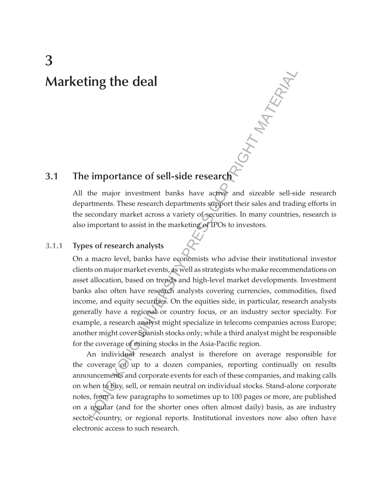# **3 Marketing the deal**

# **3.1 The importance of sell-side research** IGHT NATHERRY

All the major investment banks have active and sizeable sell-side research departments. These research departments support their sales and trading efforts in the secondary market across a variety of securities. In many countries, research is also important to assist in the marketing of IPOs to investors.

#### **3.1.1 Types of research analysts**

On a macro level, banks have economists who advise their institutional investor clients on major market events, as well as strategists who make recommendations on asset allocation, based on trends and high-level market developments. Investment banks also often have research analysts covering currencies, commodities, fixed income, and equity securities. On the equities side, in particular, research analysts generally have a regional or country focus, or an industry sector specialty. For example, a research analyst might specialize in telecoms companies across Europe; another might cover Spanish stocks only; while a third analyst might be responsible for the coverage of mining stocks in the Asia-Pacific region.

An individual research analyst is therefore on average responsible for the coverage of up to a dozen companies, reporting continually on results announcements and corporate events for each of these companies, and making calls on when to buy, sell, or remain neutral on individual stocks. Stand-alone corporate notes, from a few paragraphs to sometimes up to 100 pages or more, are published on a regular (and for the shorter ones often almost daily) basis, as are industry sector, country, or regional reports. Institutional investors now also often have electronic access to such research.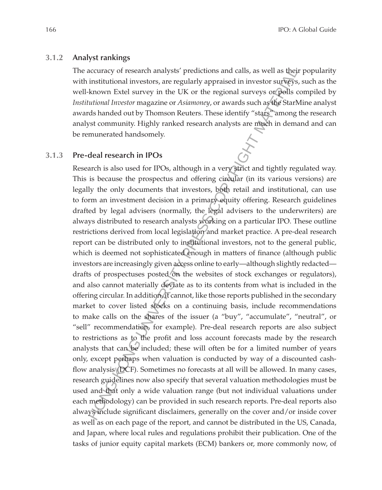#### **3.1.2 Analyst rankings**

The accuracy of research analysts' predictions and calls, as well as their popularity with institutional investors, are regularly appraised in investor surveys, such as the well-known Extel survey in the UK or the regional surveys or polls compiled by *Institutional Investor* magazine or *Asiamoney*, or awards such as the StarMine analyst awards handed out by Thomson Reuters. These identify "stars" among the research analyst community. Highly ranked research analysts are much in demand and can be remunerated handsomely.

#### **3.1.3 Pre-deal research in IPOs**

Research is also used for IPOs, although in a very strict and tightly regulated way. This is because the prospectus and offering circular (in its various versions) are legally the only documents that investors, both retail and institutional, can use to form an investment decision in a primary equity offering. Research guidelines drafted by legal advisers (normally, the legal advisers to the underwriters) are always distributed to research analysts working on a particular IPO. These outline restrictions derived from local legislation and market practice. A pre-deal research report can be distributed only to institutional investors, not to the general public, which is deemed not sophisticated enough in matters of finance (although public investors are increasingly given access online to early—although slightly redacted drafts of prospectuses posted on the websites of stock exchanges or regulators), and also cannot materially deviate as to its contents from what is included in the offering circular. In addition, it cannot, like those reports published in the secondary market to cover listed stocks on a continuing basis, include recommendations to make calls on the shares of the issuer (a "buy", "accumulate", "neutral", or "sell" recommendation, for example). Pre-deal research reports are also subject to restrictions as to the profit and loss account forecasts made by the research analysts that can be included; these will often be for a limited number of years only, except perhaps when valuation is conducted by way of a discounted cashflow analysis (DCF). Sometimes no forecasts at all will be allowed. In many cases, research guidelines now also specify that several valuation methodologies must be used and that only a wide valuation range (but not individual valuations under each methodology) can be provided in such research reports. Pre-deal reports also always include significant disclaimers, generally on the cover and/or inside cover as well as on each page of the report, and cannot be distributed in the US, Canada, and Japan, where local rules and regulations prohibit their publication. One of the tasks of junior equity capital markets (ECM) bankers or, more commonly now, of ncettracy of research analysts' predictions and calls, as well as the<br>institutional investors, are regularly appraised in investor surveys<br>in the known Extel survey in the UK or the regional surveys or<br>Qolls cutional Imest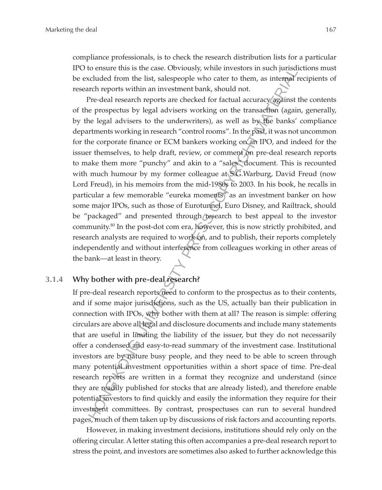compliance professionals, is to check the research distribution lists for a particular IPO to ensure this is the case. Obviously, while investors in such jurisdictions must be excluded from the list, salespeople who cater to them, as internal recipients of research reports within an investment bank, should not.

Pre-deal research reports are checked for factual accuracy against the contents of the prospectus by legal advisers working on the transaction (again, generally, by the legal advisers to the underwriters), as well as by the banks' compliance departments working in research "control rooms". In the past, it was not uncommon for the corporate finance or ECM bankers working on an IPO, and indeed for the issuer themselves, to help draft, review, or comment on pre-deal research reports to make them more "punchy" and akin to a "sales" document. This is recounted with much humour by my former colleague at S.G. Warburg, David Freud (now Lord Freud), in his memoirs from the mid-1980s to 2003. In his book, he recalls in particular a few memorable "eureka moments" as an investment banker on how some major IPOs, such as those of Eurotunnel, Euro Disney, and Railtrack, should be "packaged" and presented through research to best appeal to the investor community.80 In the post-dot com era, however, this is now strictly prohibited, and research analysts are required to work on, and to publish, their reports completely independently and without interference from colleagues working in other areas of the bank—at least in theory. to ensure this is the ease. Obviously, while meass correst in studing the construction of encompled from the list, salespeople who cater to them, as internal reflected from the list, salespeople who cater to them, as inter

#### **3.1.4 Why bother with pre-deal research?**

If pre-deal research reports need to conform to the prospectus as to their contents, and if some major jurisdictions, such as the US, actually ban their publication in connection with IPOs, why bother with them at all? The reason is simple: offering circulars are above all legal and disclosure documents and include many statements that are useful in limiting the liability of the issuer, but they do not necessarily offer a condensed and easy-to-read summary of the investment case. Institutional investors are by nature busy people, and they need to be able to screen through many potential investment opportunities within a short space of time. Pre-deal research reports are written in a format they recognize and understand (since they are readily published for stocks that are already listed), and therefore enable potential investors to find quickly and easily the information they require for their investment committees. By contrast, prospectuses can run to several hundred pages, much of them taken up by discussions of risk factors and accounting reports.

However, in making investment decisions, institutions should rely only on the offering circular. A letter stating this often accompanies a pre-deal research report to stress the point, and investors are sometimes also asked to further acknowledge this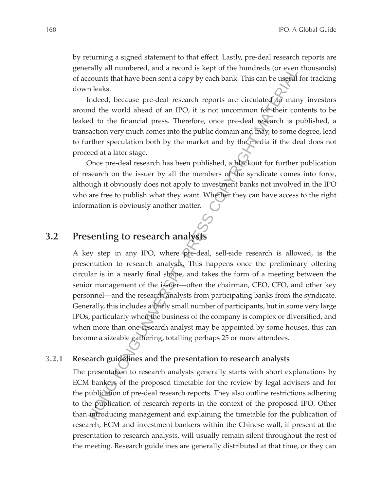by returning a signed statement to that effect. Lastly, pre-deal research reports are generally all numbered, and a record is kept of the hundreds (or even thousands) of accounts that have been sent a copy by each bank. This can be useful for tracking down leaks.

Indeed, because pre-deal research reports are circulated to many investors around the world ahead of an IPO, it is not uncommon for their contents to be leaked to the financial press. Therefore, once pre-deal research is published, a transaction very much comes into the public domain and may, to some degree, lead to further speculation both by the market and by the media if the deal does not proceed at a later stage.

Once pre-deal research has been published, a blackout for further publication of research on the issuer by all the members of the syndicate comes into force, although it obviously does not apply to investment banks not involved in the IPO who are free to publish what they want. Whether they can have access to the right information is obviously another matter.

# **3.2 Presenting to research analysts**

A key step in any IPO, where pre-deal, sell-side research is allowed, is the presentation to research analysts. This happens once the preliminary offering circular is in a nearly final shape, and takes the form of a meeting between the senior management of the issuer—often the chairman, CEO, CFO, and other key personnel—and the research analysts from participating banks from the syndicate. Generally, this includes a fairly small number of participants, but in some very large IPOs, particularly when the business of the company is complex or diversified, and when more than one research analyst may be appointed by some houses, this can become a sizeable gathering, totalling perhaps 25 or more attendees. rally all numbered, and a record is kept of the hundreds (or even<br>nounts that have been sent a copy by each bank. This can be useful<br>n leaks.<br>Notes the cord research reprofision correlated ( $\phi$  mare<br>all the world absed of

#### **3.2.1 Research guidelines and the presentation to research analysts**

The presentation to research analysts generally starts with short explanations by ECM bankers of the proposed timetable for the review by legal advisers and for the publication of pre-deal research reports. They also outline restrictions adhering to the publication of research reports in the context of the proposed IPO. Other than introducing management and explaining the timetable for the publication of research, ECM and investment bankers within the Chinese wall, if present at the presentation to research analysts, will usually remain silent throughout the rest of the meeting. Research guidelines are generally distributed at that time, or they can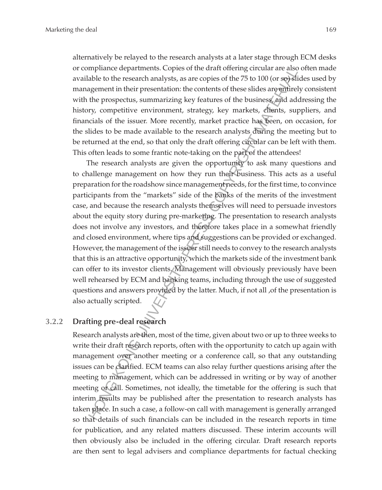alternatively be relayed to the research analysts at a later stage through ECM desks or compliance departments. Copies of the draft offering circular are also often made available to the research analysts, as are copies of the 75 to 100 (or so) slides used by management in their presentation: the contents of these slides are entirely consistent with the prospectus, summarizing key features of the business, and addressing the history, competitive environment, strategy, key markets, clients, suppliers, and financials of the issuer. More recently, market practice has been, on occasion, for the slides to be made available to the research analysts during the meeting but to be returned at the end, so that only the draft offering circular can be left with them. This often leads to some frantic note-taking on the part of the attendees!

The research analysts are given the opportunity to ask many questions and to challenge management on how they run their business. This acts as a useful preparation for the roadshow since management needs, for the first time, to convince participants from the "markets" side of the banks of the merits of the investment case, and because the research analysts themselves will need to persuade investors about the equity story during pre-marketing. The presentation to research analysts does not involve any investors, and therefore takes place in a somewhat friendly and closed environment, where tips and suggestions can be provided or exchanged. However, the management of the issuer still needs to convey to the research analysts that this is an attractive opportunity, which the markets side of the investment bank can offer to its investor clients. Management will obviously previously have been well rehearsed by ECM and banking teams, including through the use of suggested questions and answers provided by the latter. Much, if not all ,of the presentation is also actually scripted. mplane departments. Copes of the crant to remain term as also considerate also<br>hable to the research analysis, as are copies of the 75 to 100 (or seperation<br>the prospectus, summarizing key features of the business and adv

#### **3.2.2 Drafting pre-deal research**

Research analysts are then, most of the time, given about two or up to three weeks to write their draft research reports, often with the opportunity to catch up again with management over another meeting or a conference call, so that any outstanding issues can be clarified. ECM teams can also relay further questions arising after the meeting to management, which can be addressed in writing or by way of another meeting or call. Sometimes, not ideally, the timetable for the offering is such that interim results may be published after the presentation to research analysts has taken place. In such a case, a follow-on call with management is generally arranged so that details of such financials can be included in the research reports in time for publication, and any related matters discussed. These interim accounts will then obviously also be included in the offering circular. Draft research reports are then sent to legal advisers and compliance departments for factual checking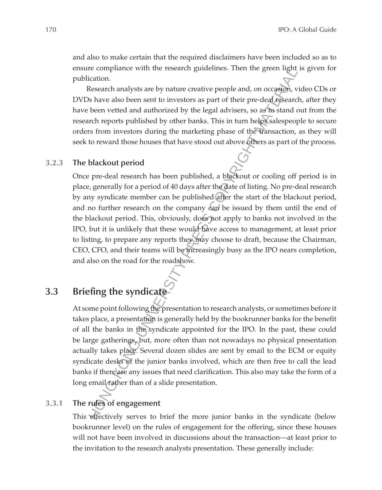and also to make certain that the required disclaimers have been included so as to ensure compliance with the research guidelines. Then the green light is given for publication.

Research analysts are by nature creative people and, on occasion, video CDs or DVDs have also been sent to investors as part of their pre-deal research, after they have been vetted and authorized by the legal advisers, so as to stand out from the research reports published by other banks. This in turn helps salespeople to secure orders from investors during the marketing phase of the transaction, as they will seek to reward those houses that have stood out above others as part of the process.

#### **3.2.3 The blackout period**

Once pre-deal research has been published, a blackout or cooling off period is in place, generally for a period of 40 days after the date of listing. No pre-deal research by any syndicate member can be published after the start of the blackout period, and no further research on the company can be issued by them until the end of the blackout period. This, obviously, does not apply to banks not involved in the IPO, but it is unlikely that these would have access to management, at least prior to listing, to prepare any reports they may choose to draft, because the Chairman, CEO, CFO, and their teams will be increasingly busy as the IPO nears completion, and also on the road for the roadshow. re complance with the research guidelines. Inen the green light<br>ication.<br>Research analysts are by nature creative people and, on occasion, v<br>Sesearch analysts are by nature creative people and, on occasion, we<br>have also be

# **3.3 Briefing the syndicate**

At some point following the presentation to research analysts, or sometimes before it takes place, a presentation is generally held by the bookrunner banks for the benefit of all the banks in the syndicate appointed for the IPO. In the past, these could be large gatherings, but, more often than not nowadays no physical presentation actually takes place. Several dozen slides are sent by email to the ECM or equity syndicate desks of the junior banks involved, which are then free to call the lead banks if there are any issues that need clarification. This also may take the form of a long email rather than of a slide presentation.

#### **3.3.1 The rules of engagement**

This effectively serves to brief the more junior banks in the syndicate (below bookrunner level) on the rules of engagement for the offering, since these houses will not have been involved in discussions about the transaction—at least prior to the invitation to the research analysts presentation. These generally include: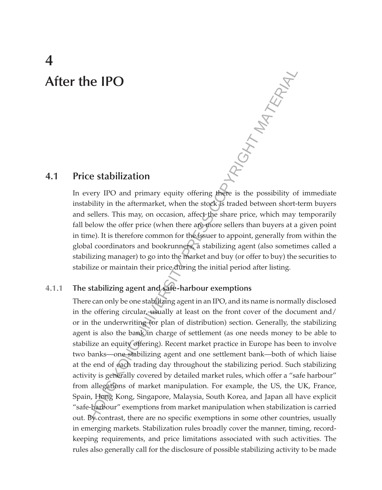# **4 After the IPO**

## **4.1 Price stabilization**

In every IPO and primary equity offering there is the possibility of immediate instability in the aftermarket, when the stock is traded between short-term buyers and sellers. This may, on occasion, affect the share price, which may temporarily fall below the offer price (when there are more sellers than buyers at a given point in time). It is therefore common for the issuer to appoint, generally from within the global coordinators and bookrunners, a stabilizing agent (also sometimes called a stabilizing manager) to go into the market and buy (or offer to buy) the securities to stabilize or maintain their price during the initial period after listing. **FRIGHT MATERIAL** 

#### **4.1.1 The stabilizing agent and safe-harbour exemptions**

There can only be one stabilizing agent in an IPO, and its name is normally disclosed in the offering circular, usually at least on the front cover of the document and/ or in the underwriting (or plan of distribution) section. Generally, the stabilizing agent is also the bank in charge of settlement (as one needs money to be able to stabilize an equity offering). Recent market practice in Europe has been to involve two banks—one stabilizing agent and one settlement bank—both of which liaise at the end of each trading day throughout the stabilizing period. Such stabilizing activity is generally covered by detailed market rules, which offer a "safe harbour" from allegations of market manipulation. For example, the US, the UK, France, Spain, Hong Kong, Singapore, Malaysia, South Korea, and Japan all have explicit "safe-harbour" exemptions from market manipulation when stabilization is carried out. By contrast, there are no specific exemptions in some other countries, usually in emerging markets. Stabilization rules broadly cover the manner, timing, recordkeeping requirements, and price limitations associated with such activities. The rules also generally call for the disclosure of possible stabilizing activity to be made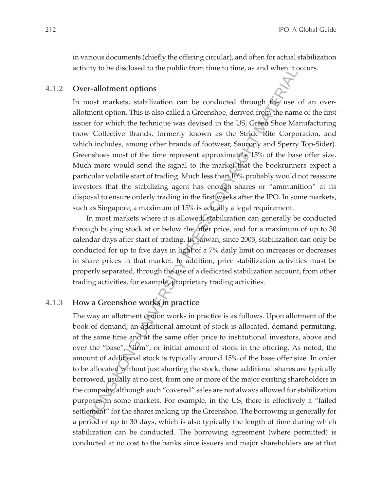in various documents (chiefly the offering circular), and often for actual stabilization activity to be disclosed to the public from time to time, as and when it occurs.

#### **4.1.2 Over-allotment options**

In most markets, stabilization can be conducted through the use of an overallotment option. This is also called a Greenshoe, derived from the name of the first issuer for which the technique was devised in the US, Green Shoe Manufacturing (now Collective Brands, formerly known as the Stride Rite Corporation, and which includes, among other brands of footwear, Saucony and Sperry Top-Sider). Greenshoes most of the time represent approximately 15% of the base offer size. Much more would send the signal to the market that the bookrunners expect a particular volatile start of trading. Much less than 10% probably would not reassure investors that the stabilizing agent has enough shares or "ammunition" at its disposal to ensure orderly trading in the first weeks after the IPO. In some markets, such as Singapore, a maximum of 15% is actually a legal requirement. Ity to be disclosed to the public from time to time, as and when it<br>
r-allotment options<br>
cost markets, stabilization can be conducted through dig use<br>
mento option. This is also called a Greenshoe, derived from the name<br>

In most markets where it is allowed, stabilization can generally be conducted through buying stock at or below the offer price, and for a maximum of up to 30 calendar days after start of trading. In Taiwan, since 2005, stabilization can only be conducted for up to five days in light of a 7% daily limit on increases or decreases in share prices in that market. In addition, price stabilization activities must be properly separated, through the use of a dedicated stabilization account, from other trading activities, for example, proprietary trading activities.

#### **4.1.3 How a Greenshoe works in practice**

The way an allotment option works in practice is as follows. Upon allotment of the book of demand, an additional amount of stock is allocated, demand permitting, at the same time and at the same offer price to institutional investors, above and over the "base", "firm", or initial amount of stock in the offering. As noted, the amount of additional stock is typically around 15% of the base offer size. In order to be allocated without just shorting the stock, these additional shares are typically borrowed, usually at no cost, from one or more of the major existing shareholders in the company, although such "covered" sales are not always allowed for stabilization purposes in some markets. For example, in the US, there is effectively a "failed settlement" for the shares making up the Greenshoe. The borrowing is generally for a period of up to 30 days, which is also typically the length of time during which stabilization can be conducted. The borrowing agreement (where permitted) is conducted at no cost to the banks since issuers and major shareholders are at that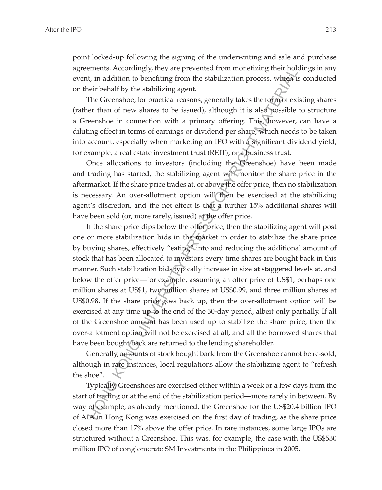point locked-up following the signing of the underwriting and sale and purchase agreements. Accordingly, they are prevented from monetizing their holdings in any event, in addition to benefiting from the stabilization process, which is conducted on their behalf by the stabilizing agent.

The Greenshoe, for practical reasons, generally takes the form of existing shares (rather than of new shares to be issued), although it is also possible to structure a Greenshoe in connection with a primary offering. This, however, can have a diluting effect in terms of earnings or dividend per share, which needs to be taken into account, especially when marketing an IPO with a significant dividend yield, for example, a real estate investment trust (REIT), or a business trust.

Once allocations to investors (including the Greenshoe) have been made and trading has started, the stabilizing agent will monitor the share price in the aftermarket. If the share price trades at, or above the offer price, then no stabilization is necessary. An over-allotment option will then be exercised at the stabilizing agent's discretion, and the net effect is that a further 15% additional shares will have been sold (or, more rarely, issued) at the offer price.

If the share price dips below the offer price, then the stabilizing agent will post one or more stabilization bids in the market in order to stabilize the share price by buying shares, effectively "eating" into and reducing the additional amount of stock that has been allocated to investors every time shares are bought back in this manner. Such stabilization bids typically increase in size at staggered levels at, and below the offer price—for example, assuming an offer price of US\$1, perhaps one million shares at US\$1, two million shares at US\$0.99, and three million shares at US\$0.98. If the share price goes back up, then the over-allotment option will be exercised at any time up to the end of the 30-day period, albeit only partially. If all of the Greenshoe amount has been used up to stabilize the share price, then the over-allotment option will not be exercised at all, and all the borrowed shares that have been bought back are returned to the lending shareholder. ments. Accordingly, they are prevented from more izing their noises.<br>
t, in addition to benefiting from the stabilization process, which<br>
teir behalf by the stabilizing agent.<br>
The Greenshoe, for practical reasons, genera

Generally, amounts of stock bought back from the Greenshoe cannot be re-sold, although in rare instances, local regulations allow the stabilizing agent to "refresh the shoe".

Typically, Greenshoes are exercised either within a week or a few days from the start of trading or at the end of the stabilization period—more rarely in between. By way of example, as already mentioned, the Greenshoe for the US\$20.4 billion IPO of AIA in Hong Kong was exercised on the first day of trading, as the share price closed more than 17% above the offer price. In rare instances, some large IPOs are structured without a Greenshoe. This was, for example, the case with the US\$530 million IPO of conglomerate SM Investments in the Philippines in 2005.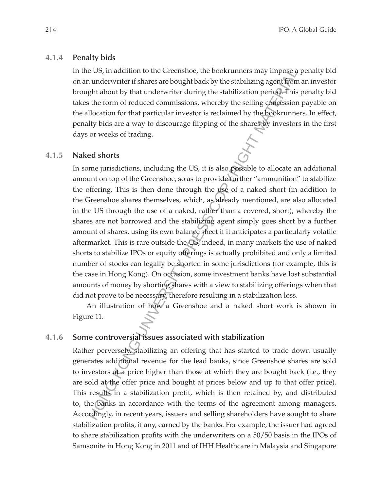#### **4.1.4 Penalty bids**

In the US, in addition to the Greenshoe, the bookrunners may impose a penalty bid on an underwriter if shares are bought back by the stabilizing agent from an investor brought about by that underwriter during the stabilization period. This penalty bid takes the form of reduced commissions, whereby the selling concession payable on the allocation for that particular investor is reclaimed by the bookrunners. In effect, penalty bids are a way to discourage flipping of the shares by investors in the first days or weeks of trading.

#### **4.1.5 Naked shorts**

In some jurisdictions, including the US, it is also possible to allocate an additional amount on top of the Greenshoe, so as to provide further "ammunition" to stabilize the offering. This is then done through the use of a naked short (in addition to the Greenshoe shares themselves, which, as already mentioned, are also allocated in the US through the use of a naked, rather than a covered, short), whereby the shares are not borrowed and the stabilizing agent simply goes short by a further amount of shares, using its own balance sheet if it anticipates a particularly volatile aftermarket. This is rare outside the US; indeed, in many markets the use of naked shorts to stabilize IPOs or equity offerings is actually prohibited and only a limited number of stocks can legally be shorted in some jurisdictions (for example, this is the case in Hong Kong). On occasion, some investment banks have lost substantial amounts of money by shorting shares with a view to stabilizing offerings when that did not prove to be necessary, therefore resulting in a stabilization loss. e US, in addition to the Greenshoe, the bookrunners may impose a<br>underwriter if shares are booght hack by the stabilizing agent<br>from the stabilization period and the stabilization period. This the form of reduced commissio

An illustration of how a Greenshoe and a naked short work is shown in Figure 11.

#### **4.1.6 Some controversial issues associated with stabilization**

Rather perversely, stabilizing an offering that has started to trade down usually generates additional revenue for the lead banks, since Greenshoe shares are sold to investors at a price higher than those at which they are bought back (i.e., they are sold at the offer price and bought at prices below and up to that offer price). This results in a stabilization profit, which is then retained by, and distributed to, the banks in accordance with the terms of the agreement among managers. Accordingly, in recent years, issuers and selling shareholders have sought to share stabilization profits, if any, earned by the banks. For example, the issuer had agreed to share stabilization profits with the underwriters on a 50/50 basis in the IPOs of Samsonite in Hong Kong in 2011 and of IHH Healthcare in Malaysia and Singapore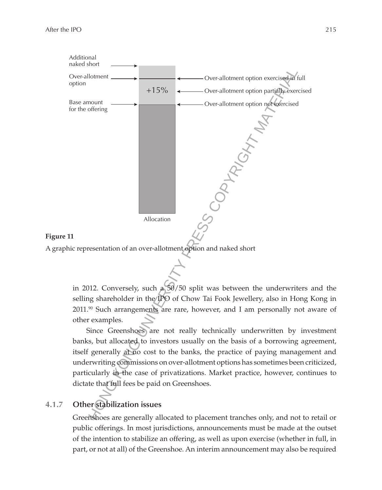

A graphic representation of an over-allotment option and naked short

in 2012. Conversely, such a 50/50 split was between the underwriters and the selling shareholder in the IPO of Chow Tai Fook Jewellery, also in Hong Kong in  $2011.^{\circ}$  Such arrangements are rare, however, and I am personally not aware of other examples.

Since Greenshoes are not really technically underwritten by investment banks, but allocated to investors usually on the basis of a borrowing agreement, itself generally at no cost to the banks, the practice of paying management and underwriting commissions on over-allotment options has sometimes been criticized, particularly in the case of privatizations. Market practice, however, continues to dictate that full fees be paid on Greenshoes.

#### **4.1.7 Other stabilization issues**

Greenshoes are generally allocated to placement tranches only, and not to retail or public offerings. In most jurisdictions, announcements must be made at the outset of the intention to stabilize an offering, as well as upon exercise (whether in full, in part, or not at all) of the Greenshoe. An interim announcement may also be required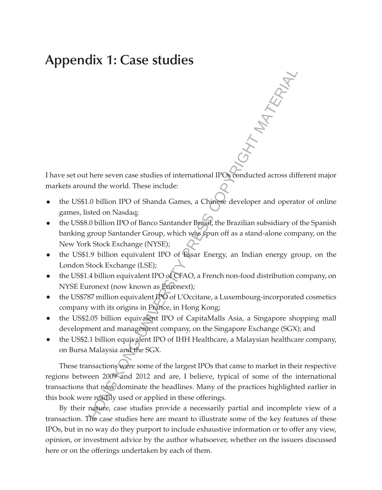# **Appendix 1: Case studies**

Appendience of the seven case studies of international IPOs conducted across different major markets around the world. These include:

- the US\$1.0 billion IPO of Shanda Games, a Chinese developer and operator of online games, listed on Nasdaq;
- the US\$8.0 billion IPO of Banco Santander Brasil, the Brazilian subsidiary of the Spanish banking group Santander Group, which was spun off as a stand-alone company, on the New York Stock Exchange (NYSE);
- the US\$1.9 billion equivalent IPO of Essar Energy, an Indian energy group, on the London Stock Exchange (LSE);
- the US\$1.4 billion equivalent IPO of CFAO, a French non-food distribution company, on NYSE Euronext (now known as Euronext);
- the US\$787 million equivalent IPO of L'Occitane, a Luxembourg-incorporated cosmetics company with its origins in France, in Hong Kong;
- the US\$2.05 billion equivalent IPO of CapitaMalls Asia, a Singapore shopping mall development and management company, on the Singapore Exchange (SGX); and
- the US\$2.1 billion equivalent IPO of IHH Healthcare, a Malaysian healthcare company, on Bursa Malaysia and the SGX.

These transactions were some of the largest IPOs that came to market in their respective regions between 2009 and 2012 and are, I believe, typical of some of the international transactions that now dominate the headlines. Many of the practices highlighted earlier in this book were readily used or applied in these offerings. there were case studies of international IPOs conducted across diffused the world. These include:<br>
A billion IPO of Shanda Games, a Chinese developer and operationed across diffused on Nasdaq;<br>
A billion IPO of Shanda Game

By their nature, case studies provide a necessarily partial and incomplete view of a transaction. The case studies here are meant to illustrate some of the key features of these IPOs, but in no way do they purport to include exhaustive information or to offer any view, opinion, or investment advice by the author whatsoever, whether on the issuers discussed here or on the offerings undertaken by each of them.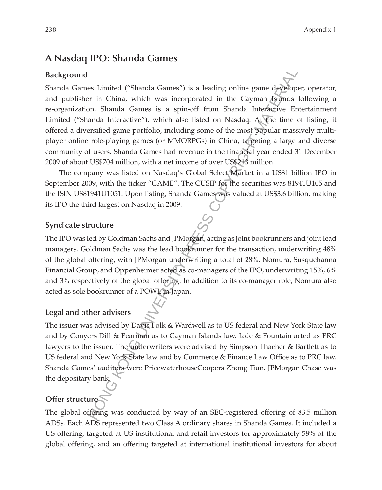## **A Nasdaq IPO: Shanda Games**

#### **Background**

Shanda Games Limited ("Shanda Games") is a leading online game developer, operator, and publisher in China, which was incorporated in the Cayman Islands following a re-organization. Shanda Games is a spin-off from Shanda Interactive Entertainment Limited ("Shanda Interactive"), which also listed on Nasdaq. At the time of listing, it offered a diversified game portfolio, including some of the most popular massively multiplayer online role-playing games (or MMORPGs) in China, targeting a large and diverse community of users. Shanda Games had revenue in the financial year ended 31 December 2009 of about US\$704 million, with a net income of over US\$213 million. es Limited ("Shanda Games") is a leading online game developed<br>
r in China, which was incorporated in the Cayman developed<br>
m. Shanda Games is a spin-off from Shanda Interactive Em<br>
and Interactive"), which also listed on

The company was listed on Nasdaq's Global Select Market in a US\$1 billion IPO in September 2009, with the ticker "GAME". The CUSIP for the securities was 81941U105 and the ISIN US81941U1051. Upon listing, Shanda Games was valued at US\$3.6 billion, making its IPO the third largest on Nasdaq in 2009.

#### **Syndicate structure**

The IPO was led by Goldman Sachs and JPMorgan, acting as joint bookrunners and joint lead managers. Goldman Sachs was the lead bookrunner for the transaction, underwriting 48% of the global offering, with JPMorgan underwriting a total of 28%. Nomura, Susquehanna Financial Group, and Oppenheimer acted as co-managers of the IPO, underwriting 15%, 6% and 3% respectively of the global offering. In addition to its co-manager role, Nomura also acted as sole bookrunner of a POWL in Japan.

#### **Legal and other advisers**

The issuer was advised by Davis Polk & Wardwell as to US federal and New York State law and by Conyers Dill & Pearman as to Cayman Islands law. Jade & Fountain acted as PRC lawyers to the issuer. The underwriters were advised by Simpson Thacher & Bartlett as to US federal and New York State law and by Commerce & Finance Law Office as to PRC law. Shanda Games' auditors were PricewaterhouseCoopers Zhong Tian. JPMorgan Chase was the depositary bank.

#### **Offer structure**

The global offering was conducted by way of an SEC-registered offering of 83.5 million ADSs. Each ADS represented two Class A ordinary shares in Shanda Games. It included a US offering, targeted at US institutional and retail investors for approximately 58% of the global offering, and an offering targeted at international institutional investors for about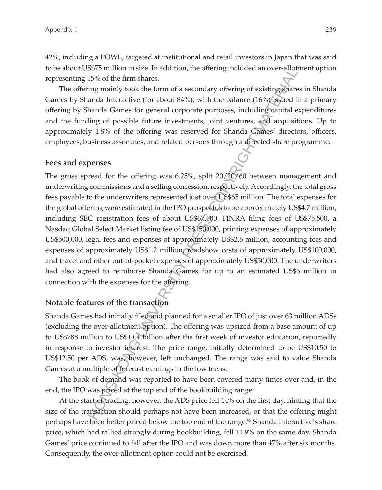42%, including a POWL, targeted at institutional and retail investors in Japan that was said to be about US\$75 million in size. In addition, the offering included an over-allotment option representing 15% of the firm shares.

The offering mainly took the form of a secondary offering of existing shares in Shanda Games by Shanda Interactive (for about 84%), with the balance (16%) issued in a primary offering by Shanda Games for general corporate purposes, including capital expenditures and the funding of possible future investments, joint ventures, and acquisitions. Up to approximately 1.8% of the offering was reserved for Shanda Games' directors, officers, employees, business associates, and related persons through a directed share programme.

#### **Fees and expenses**

The gross spread for the offering was 6.25%, split 20/20/60 between management and underwriting commissions and a selling concession, respectively. Accordingly, the total gross fees payable to the underwriters represented just over US\$65 million. The total expenses for the global offering were estimated in the IPO prospectus to be approximately US\$4.7 million, including SEC registration fees of about US\$67,000, FINRA filing fees of US\$75,500, a Nasdaq Global Select Market listing fee of US\$150,000, printing expenses of approximately US\$500,000, legal fees and expenses of approximately US\$2.6 million, accounting fees and expenses of approximately US\$1.2 million, roadshow costs of approximately US\$100,000, and travel and other out-of-pocket expenses of approximately US\$50,000. The underwriters had also agreed to reimburse Shanda Games for up to an estimated US\$6 million in connection with the expenses for the offering. So.<sup>5</sup> million in size. In addition, the othering included an over-allot<br>Sh<sup>2</sup>% of the firm shares. In addition, the othering included an over-allot<br>ing mainly took the form of a secondary offering of existing share<br>and a

#### **Notable features of the transaction**

Shanda Games had initially filed and planned for a smaller IPO of just over 63 million ADSs (excluding the over-allotment option). The offering was upsized from a base amount of up to US\$788 million to US\$1.04 billion after the first week of investor education, reportedly in response to investor interest. The price range, initially determined to be US\$10.50 to US\$12.50 per ADS, was, however, left unchanged. The range was said to value Shanda Games at a multiple of forecast earnings in the low teens.

The book of demand was reported to have been covered many times over and, in the end, the IPO was priced at the top end of the bookbuilding range.

At the start of trading, however, the ADS price fell 14% on the first day, hinting that the size of the transaction should perhaps not have been increased, or that the offering might perhaps have been better priced below the top end of the range.<sup>98</sup> Shanda Interactive's share price, which had rallied strongly during bookbuilding, fell 11.9% on the same day. Shanda Games' price continued to fall after the IPO and was down more than 47% after six months. Consequently, the over-allotment option could not be exercised.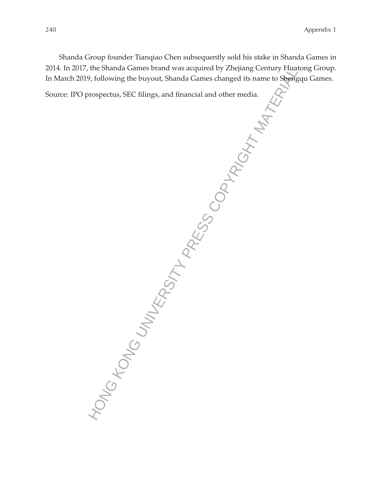Shanda Group founder Tianqiao Chen subsequently sold his stake in Shanda Games in 2014. In 2017, the Shanda Games brand was acquired by Zhejiang Century Huatong Group. In March 2019, following the buyout, Shanda Games changed its name to Shengqu Games.

Source: IPO prospectus, SEC filings, and financial and other media.

HONG KONG UNIVERSITY PRESS COPYRIGHT MATERIAL SCRIPTION PRESS COPYRIGHT MATERIAL SCRIPTION PRESS COPYRIGHT MATERIAL SCRIPTION PRESS COPYRIGHT MATERIAL SCRIPTION PRESS COPYRIGHT MATERIAL SCRIPTION PRESS COPYRIGHT MATERIAL S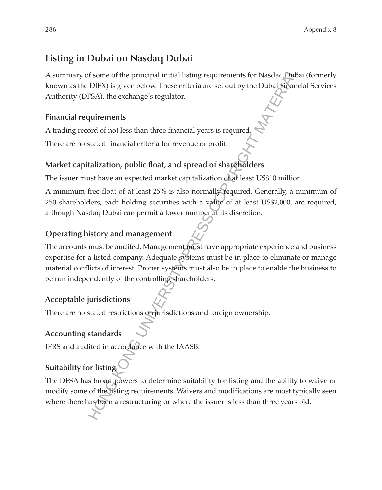# **Listing in Dubai on Nasdaq Dubai**

A summary of some of the principal initial listing requirements for Nasdaq Dubai (formerly known as the DIFX) is given below. These criteria are set out by the Dubai Financial Services Authority (DFSA), the exchange's regulator.

#### **Financial requirements**

A trading record of not less than three financial years is required.

There are no stated financial criteria for revenue or profit.

## **Market capitalization, public float, and spread of shareholders**

The issuer must have an expected market capitalization of at least US\$10 million.

A minimum free float of at least 25% is also normally required. Generally, a minimum of 250 shareholders, each holding securities with a value of at least US\$2,000, are required, although Nasdaq Dubai can permit a lower number at its discretion.

#### **Operating history and management**

The accounts must be audited. Management must have appropriate experience and business expertise for a listed company. Adequate systems must be in place to eliminate or manage material conflicts of interest. Proper systems must also be in place to enable the business to be run independently of the controlling shareholders. f some of the principal initial listing requirements for Nasdaq Dapy<br>
DIFX) is given below. These criteria are set out by the Dubai Funan<br>
FSA), the exchange's regulator.<br>
<br>
<br> **quirements**<br>
<br> **quirements**<br>
<br> **curically the** 

## **Acceptable jurisdictions**

There are no stated restrictions on jurisdictions and foreign ownership.

## **Accounting standards**

IFRS and audited in accordance with the IAASB.

# **Suitability for listing**

The DFSA has broad powers to determine suitability for listing and the ability to waive or modify some of the listing requirements. Waivers and modifications are most typically seen where there has been a restructuring or where the issuer is less than three years old.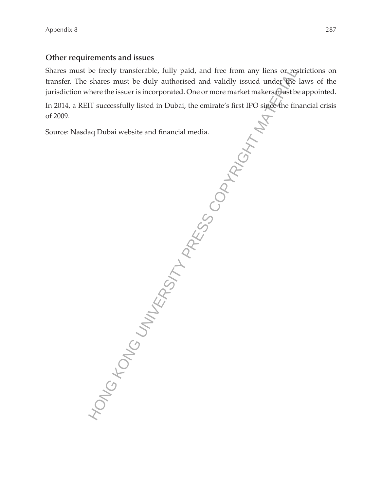#### **Other requirements and issues**

Shares must be freely transferable, fully paid, and free from any liens or restrictions on transfer. The shares must be duly authorised and validly issued under the laws of the jurisdiction where the issuer is incorporated. One or more market makers must be appointed.

In 2014, a REIT successfully listed in Dubai, the emirate's first IPO since the financial crisis of 2009.

Source: Nasdaq Dubai website and financial media.

HONG KONG UNIVERSITY PRESS COPYRIGHT MATERIAL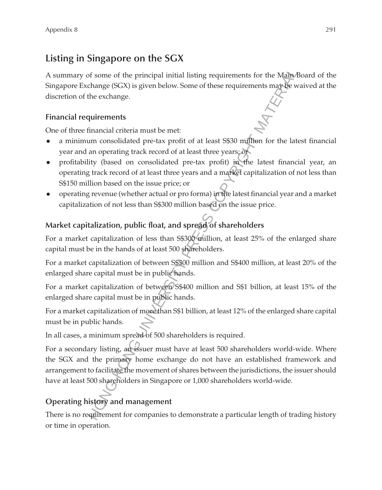# **Listing in Singapore on the SGX**

A summary of some of the principal initial listing requirements for the Main Board of the Singapore Exchange (SGX) is given below. Some of these requirements may be waived at the discretion of the exchange.

#### **Financial requirements**

One of three financial criteria must be met:

- a minimum consolidated pre-tax profit of at least S\$30 million for the latest financial year and an operating track record of at least three years; or
- profitability (based on consolidated pre-tax profit) in the latest financial year, an operating track record of at least three years and a market capitalization of not less than S\$150 million based on the issue price; or
- operating revenue (whether actual or pro forma) in the latest financial year and a market capitalization of not less than S\$300 million based on the issue price.

## **Market capitalization, public float, and spread of shareholders**

For a market capitalization of less than S\$300 million, at least 25% of the enlarged share capital must be in the hands of at least 500 shareholders.

For a market capitalization of between S\$300 million and S\$400 million, at least 20% of the enlarged share capital must be in public hands.

For a market capitalization of between S\$400 million and S\$1 billion, at least 15% of the enlarged share capital must be in public hands.

For a market capitalization of more than S\$1 billion, at least 12% of the enlarged share capital must be in public hands.

In all cases, a minimum spread of 500 shareholders is required.

For a secondary listing, an issuer must have at least 500 shareholders world-wide. Where the SGX and the primary home exchange do not have an established framework and arrangement to facilitate the movement of shares between the jurisdictions, the issuer should have at least 500 shareholders in Singapore or 1,000 shareholders world-wide. of some of the principal initial listing requirements for the Main-<br>change (SGX) is given below. Some of these requirements may be well<br>the exchange.<br>He exchange.<br>
He exchange.<br>
He exchange.<br>
He exchange.<br>
He exchange.<br>
H

## **Operating history and management**

There is no requirement for companies to demonstrate a particular length of trading history or time in operation.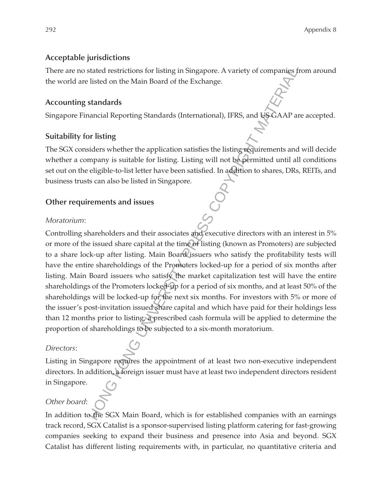#### **Acceptable jurisdictions**

There are no stated restrictions for listing in Singapore. A variety of companies from around the world are listed on the Main Board of the Exchange.

#### **Accounting standards**

Singapore Financial Reporting Standards (International), IFRS, and US GAAP are accepted.

#### **Suitability for listing**

The SGX considers whether the application satisfies the listing requirements and will decide whether a company is suitable for listing. Listing will not be permitted until all conditions set out on the eligible-to-list letter have been satisfied. In addition to shares, DRs, REITs, and business trusts can also be listed in Singapore.

#### **Other requirements and issues**

#### *Moratorium*:

Controlling shareholders and their associates and executive directors with an interest in 5% or more of the issued share capital at the time of listing (known as Promoters) are subjected to a share lock-up after listing. Main Board issuers who satisfy the profitability tests will have the entire shareholdings of the Promoters locked-up for a period of six months after listing. Main Board issuers who satisfy the market capitalization test will have the entire shareholdings of the Promoters locked-up for a period of six months, and at least 50% of the shareholdings will be locked-up for the next six months. For investors with 5% or more of the issuer's post-invitation issued share capital and which have paid for their holdings less than 12 months prior to listing, a prescribed cash formula will be applied to determine the proportion of shareholdings to be subjected to a six-month moratorium. stated restrictions for listing in Singapore. A variety of companies f<br>listed on the Main Board of the Exchange.<br>
standards<br>
standards<br>
ancial Reporting Standards (International), IFRS, and USGAAP at<br>
or listing<br>
or listin

#### *Directors*:

Listing in Singapore requires the appointment of at least two non-executive independent directors. In addition, a foreign issuer must have at least two independent directors resident in Singapore.

## *Other board*:

In addition to the SGX Main Board, which is for established companies with an earnings track record, SGX Catalist is a sponsor-supervised listing platform catering for fast-growing companies seeking to expand their business and presence into Asia and beyond. SGX Catalist has different listing requirements with, in particular, no quantitative criteria and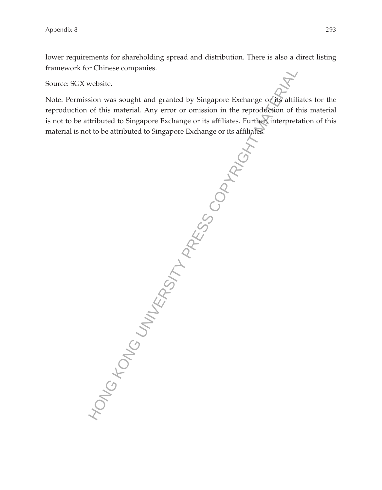lower requirements for shareholding spread and distribution. There is also a direct listing framework for Chinese companies.

Source: SGX website.

Note: Permission was sought and granted by Singapore Exchange or its affiliates for the reproduction of this material. Any error or omission in the reproduction of this material is not to be attributed to Singapore Exchange or its affiliates. Further, interpretation of this material is not to be attributed to Singapore Exchange or its affiliates.

HONG KONG UNIVERSITY PRESS COPYRIGHT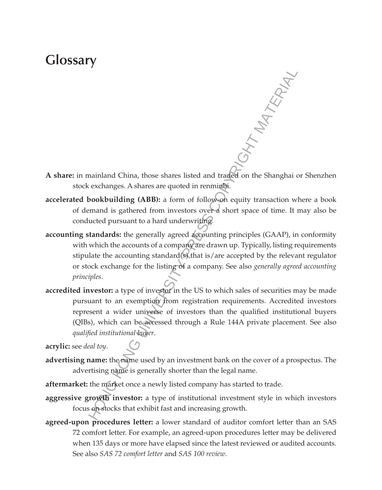# **Glossary**

A share: in mainland China, those shares listed and traded on the Shanghai or Shenzhen A share: in mainland China, those shares listed and traded on the Shanghai or Shenzhen stock exchanges. A shares are quoted in renminbi.

- **accelerated bookbuilding (ABB):** a form of follow-on equity transaction where a book of demand is gathered from investors over a short space of time. It may also be conducted pursuant to a hard underwriting.
- **accounting standards:** the generally agreed accounting principles (GAAP), in conformity with which the accounts of a company are drawn up. Typically, listing requirements stipulate the accounting standard(s) that is/are accepted by the relevant regulator or stock exchange for the listing of a company. See also *generally agreed accounting principles*.
- **accredited investor:** a type of investor in the US to which sales of securities may be made pursuant to an exemption from registration requirements. Accredited investors represent a wider universe of investors than the qualified institutional buyers (QIBs), which can be accessed through a Rule 144A private placement. See also *qualified institutional buyer*. mainland China, those shares listed and traded on the Shanghai cechanges. A shares are quoted in remming the control of control of control of the small is gathered from investors over-a short space of time. It unced pursua

**acrylic:** see *deal toy*.

**advertising name:** the name used by an investment bank on the cover of a prospectus. The advertising name is generally shorter than the legal name.

**aftermarket:** the market once a newly listed company has started to trade.

- **aggressive growth investor:** a type of institutional investment style in which investors focus on stocks that exhibit fast and increasing growth.
- **agreed-upon procedures letter:** a lower standard of auditor comfort letter than an SAS 72 comfort letter. For example, an agreed-upon procedures letter may be delivered when 135 days or more have elapsed since the latest reviewed or audited accounts. See also *SAS 72 comfort letter* and *SAS 100 review*.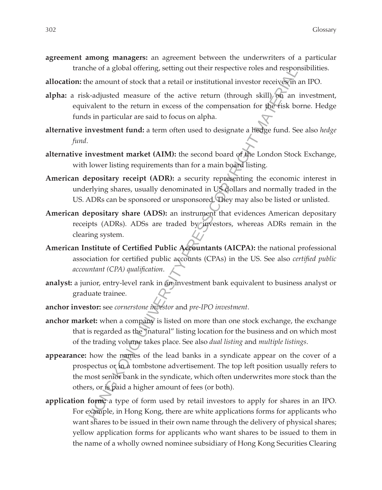**agreement among managers:** an agreement between the underwriters of a particular tranche of a global offering, setting out their respective roles and responsibilities.

**allocation:** the amount of stock that a retail or institutional investor receives in an IPO.

- **alpha:** a risk-adjusted measure of the active return (through skill) on an investment, equivalent to the return in excess of the compensation for the risk borne. Hedge funds in particular are said to focus on alpha.
- **alternative investment fund:** a term often used to designate a hedge fund. See also *hedge fund*.
- **alternative investment market (AIM):** the second board of the London Stock Exchange, with lower listing requirements than for a main board listing.
- **American depositary receipt (ADR):** a security representing the economic interest in underlying shares, usually denominated in US dollars and normally traded in the US. ADRs can be sponsored or unsponsored. They may also be listed or unlisted.
- **American depositary share (ADS):** an instrument that evidences American depositary receipts (ADRs). ADSs are traded by investors, whereas ADRs remain in the clearing system.
- **American Institute of Certified Public Accountants (AICPA):** the national professional association for certified public accounts (CPAs) in the US. See also *certified public accountant (CPA) qualification*.
- **analyst:** a junior, entry-level rank in an investment bank equivalent to business analyst or graduate trainee.
- **anchor investor:** see *cornerstone investor* and *pre-IPO investment*.
- **anchor market:** when a company is listed on more than one stock exchange, the exchange that is regarded as the "natural" listing location for the business and on which most of the trading volume takes place. See also *dual listing* and *multiple listings*.
- **appearance:** how the names of the lead banks in a syndicate appear on the cover of a prospectus or in a tombstone advertisement. The top left position usually refers to the most senior bank in the syndicate, which often underwrites more stock than the others, or is paid a higher amount of fees (or both). the of a global offering, setting out their respective roles and responded monaut of stock that a retail or institutional investor receives and  $\alpha$ -adiusted measure of the active return (through skill) of an and-<br>valent
- **application form:** a type of form used by retail investors to apply for shares in an IPO. For example, in Hong Kong, there are white applications forms for applicants who want shares to be issued in their own name through the delivery of physical shares; yellow application forms for applicants who want shares to be issued to them in the name of a wholly owned nominee subsidiary of Hong Kong Securities Clearing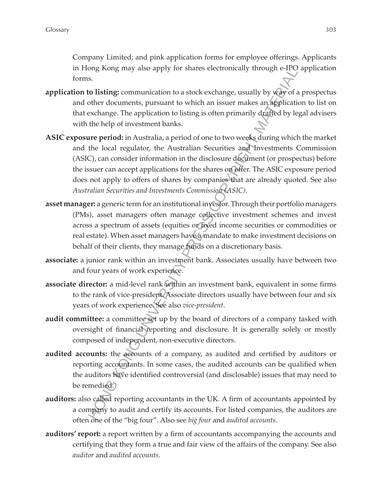Company Limited; and pink application forms for employee offerings. Applicants in Hong Kong may also apply for shares electronically through e-IPO application forms.

- **application to listing:** communication to a stock exchange, usually by way of a prospectus and other documents, pursuant to which an issuer makes an application to list on that exchange. The application to listing is often primarily drafted by legal advisers with the help of investment banks.
- **ASIC exposure period:** in Australia, a period of one to two weeks during which the market and the local regulator, the Australian Securities and Investments Commission (ASIC), can consider information in the disclosure document (or prospectus) before the issuer can accept applications for the shares on offer. The ASIC exposure period does not apply to offers of shares by companies that are already quoted. See also *Australian Securities and Investments Commission (ASIC)*. HONG KONG UNIVERSITY PRESS COPYRIGHT MATERIAL
- **asset manager:** a generic term for an institutional investor. Through their portfolio managers (PMs), asset managers often manage collective investment schemes and invest across a spectrum of assets (equities or fixed income securities or commodities or real estate). When asset managers have a mandate to make investment decisions on behalf of their clients, they manage funds on a discretionary basis.
- **associate:** a junior rank within an investment bank. Associates usually have between two and four years of work experience.
- **associate director:** a mid-level rank within an investment bank, equivalent in some firms to the rank of vice-president. Associate directors usually have between four and six years of work experience. See also *vice-president*.
- **audit committee:** a committee set up by the board of directors of a company tasked with oversight of financial reporting and disclosure. It is generally solely or mostly composed of independent, non-executive directors.
- **audited accounts:** the accounts of a company, as audited and certified by auditors or reporting accountants. In some cases, the audited accounts can be qualified when the auditors have identified controversial (and disclosable) issues that may need to be remedied.
- **auditors:** also called reporting accountants in the UK. A firm of accountants appointed by a company to audit and certify its accounts. For listed companies, the auditors are often one of the "big four". Also see *big four* and *audited accounts*.
- **auditors' report:** a report written by a firm of accountants accompanying the accounts and certifying that they form a true and fair view of the affairs of the company. See also *auditor* and *audited accounts*.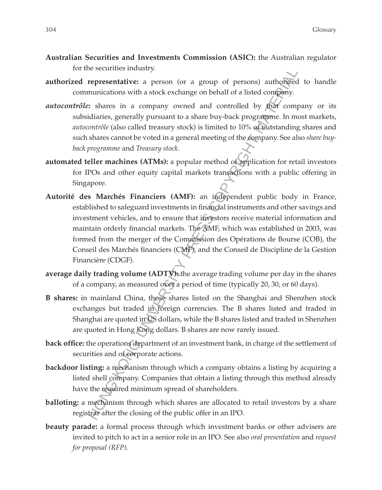- **Australian Securities and Investments Commission (ASIC):** the Australian regulator for the securities industry.
- **authorized representative:** a person (or a group of persons) authorized to handle communications with a stock exchange on behalf of a listed company.
- *autocontrôle***:** shares in a company owned and controlled by that company or its subsidiaries, generally pursuant to a share buy-back programme. In most markets, *autocontrôle* (also called treasury stock) is limited to 10% of outstanding shares and such shares cannot be voted in a general meeting of the company. See also *share buyback programme* and *Treasury stock*.
- **automated teller machines (ATMs):** a popular method of application for retail investors for IPOs and other equity capital markets transactions with a public offering in Singapore.
- **Autorité des Marchés Financiers (AMF):** an independent public body in France, established to safeguard investments in financial instruments and other savings and investment vehicles, and to ensure that investors receive material information and maintain orderly financial markets. The AMF, which was established in 2003, was formed from the merger of the Commission des Opérations de Bourse (COB), the Conseil des Marchés financiers (CMF), and the Conseil de Discipline de la Gestion Financière (CDGF). re securities industry.<br>
renormative: a person (or a group of persons) authorized<br>
runnications with a stock exchange on behalf of a listed company.<br>
The municialities, generally pursuant to a share buy-back programme. In
- **average daily trading volume (ADTV):** the average trading volume per day in the shares of a company, as measured over a period of time (typically 20, 30, or 60 days).
- **B shares:** in mainland China, those shares listed on the Shanghai and Shenzhen stock exchanges but traded in foreign currencies. The B shares listed and traded in Shanghai are quoted in US dollars, while the B shares listed and traded in Shenzhen are quoted in Hong Kong dollars. B shares are now rarely issued.
- **back office:** the operations department of an investment bank, in charge of the settlement of securities and of corporate actions.
- **backdoor listing:** a mechanism through which a company obtains a listing by acquiring a listed shell company. Companies that obtain a listing through this method already have the required minimum spread of shareholders.
- **balloting:** a mechanism through which shares are allocated to retail investors by a share registrar after the closing of the public offer in an IPO.
- **beauty parade:** a formal process through which investment banks or other advisers are invited to pitch to act in a senior role in an IPO. See also *oral presentation* and *request for proposal (RFP)*.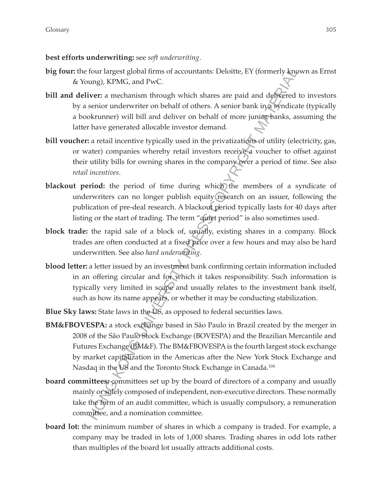#### **best efforts underwriting:** see *soft underwriting*.

- **big four:** the four largest global firms of accountants: Deloitte, EY (formerly known as Ernst & Young), KPMG, and PwC.
- **bill and deliver:** a mechanism through which shares are paid and delivered to investors by a senior underwriter on behalf of others. A senior bank in a syndicate (typically a bookrunner) will bill and deliver on behalf of more junior banks, assuming the latter have generated allocable investor demand.
- **bill voucher:** a retail incentive typically used in the privatizations of utility (electricity, gas, or water) companies whereby retail investors receive a voucher to offset against their utility bills for owning shares in the company over a period of time. See also *retail incentives*.
- blackout period: the period of time during which the members of a syndicate of underwriters can no longer publish equity research on an issuer, following the publication of pre-deal research. A blackout period typically lasts for 40 days after listing or the start of trading. The term "quiet period" is also sometimes used.
- **block trade:** the rapid sale of a block of, usually, existing shares in a company. Block trades are often conducted at a fixed price over a few hours and may also be hard underwritten. See also *hard underwriting*.
- **blood letter:** a letter issued by an investment bank confirming certain information included in an offering circular and for which it takes responsibility. Such information is typically very limited in scope and usually relates to the investment bank itself, such as how its name appears, or whether it may be conducting stabilization.
- **Blue Sky laws:** State laws in the US, as opposed to federal securities laws.
- **BM&FBOVESPA:** a stock exchange based in São Paulo in Brazil created by the merger in 2008 of the São Paulo Stock Exchange (BOVESPA) and the Brazilian Mercantile and Futures Exchange (BM&F). The BM&FBOVESPA is the fourth largest stock exchange by market capitalization in the Americas after the New York Stock Exchange and Nasdaq in the US and the Toronto Stock Exchange in Canada.<sup>104</sup> four largest global firms of accountants: Deloitte, EY (formerly know), KPMG, and PwC.<br>
vere a mechanism through which shares are paid and defivered<br>
senior underwriter on behalf of others. A senior bank in a synchical<br>
s
- **board committees:** committees set up by the board of directors of a company and usually mainly or solely composed of independent, non-executive directors. These normally take the form of an audit committee, which is usually compulsory, a remuneration committee, and a nomination committee.
- **board lot:** the minimum number of shares in which a company is traded. For example, a company may be traded in lots of 1,000 shares. Trading shares in odd lots rather than multiples of the board lot usually attracts additional costs.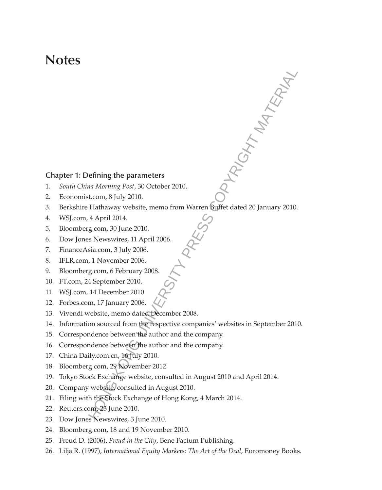# **Notes**

#### **Chapter 1: Defining the parameters**

- 1. *South China Morning Post*, 30 October 2010.
- 2. Economist.com, 8 July 2010.
- 3. Berkshire Hathaway website, memo from Warren Buffet dated 20 January 2010. YOU RIGHT MATERIAL
- 4. WSJ.com, 4 April 2014.
- 5. Bloomberg.com, 30 June 2010.
- 6. Dow Jones Newswires, 11 April 2006.
- 7. FinanceAsia.com, 3 July 2006.
- 8. IFLR.com, 1 November 2006.
- 9. Bloomberg.com, 6 February 2008.
- 10. FT.com, 24 September 2010.
- 11. WSJ.com, 14 December 2010.
- 12. Forbes.com, 17 January 2006.
- 13. Vivendi website, memo dated December 2008.
- 14. Information sourced from the respective companies' websites in September 2010.
- 15. Correspondence between the author and the company.
- 16. Correspondence between the author and the company.
- 17. China Daily.com.cn, 16 July 2010.
- 18. Bloomberg.com, 29 November 2012.
- 19. Tokyo Stock Exchange website, consulted in August 2010 and April 2014.
- 20. Company website, consulted in August 2010.
- 21. Filing with the Stock Exchange of Hong Kong, 4 March 2014.
- 22. Reuters.com, 23 June 2010.
- 23. Dow Jones Newswires, 3 June 2010.
- 24. Bloomberg.com, 18 and 19 November 2010.
- 25. Freud D. (2006), *Freud in the City*, Bene Factum Publishing.
- 26. Lilja R. (1997), *International Equity Markets: The Art of the Deal*, Euromoney Books.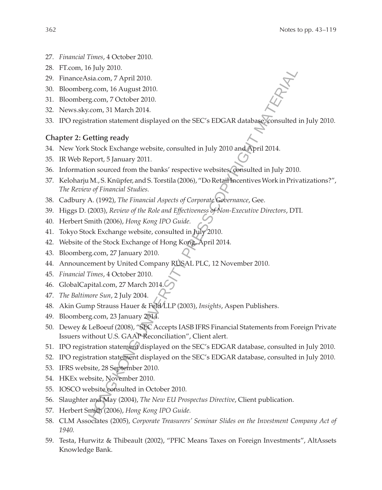- 27. *Financial Times*, 4 October 2010.
- 28. FT.com, 16 July 2010.
- 29. FinanceAsia.com, 7 April 2010.
- 30. Bloomberg.com, 16 August 2010.
- 31. Bloomberg.com, 7 October 2010.
- 32. News.sky.com, 31 March 2014.
- 33. IPO registration statement displayed on the SEC's EDGAR database, consulted in July 2010.

#### **Chapter 2: Getting ready**

- 34. New York Stock Exchange website, consulted in July 2010 and April 2014.
- 35. IR Web Report, 5 January 2011.
- 36. Information sourced from the banks' respective websites, consulted in July 2010.
- 37. Keloharju M., S. Knüpfer, and S. Torstila (2006), "Do Retail Incentives Work in Privatizations?", *The Review of Financial Studies.*
- 38. Cadbury A. (1992), *The Financial Aspects of Corporate Governance*, Gee.
- 39. Higgs D. (2003), *Review of the Role and Effectiveness of Non-Executive Directors*, DTI.
- 40. Herbert Smith (2006), *Hong Kong IPO Guide.*
- 41. Tokyo Stock Exchange website, consulted in July 2010.
- 42. Website of the Stock Exchange of Hong Kong, April 2014.
- 43. Bloomberg.com, 27 January 2010.
- 44. Announcement by United Company RUSAL PLC, 12 November 2010.
- 45. *Financial Times*, 4 October 2010.
- 46. GlobalCapital.com, 27 March 2014.
- 47. *The Baltimore Sun*, 2 July 2004.
- 48. Akin Gump Strauss Hauer & Feld LLP (2003), *Insights*, Aspen Publishers.
- 49. Bloomberg.com, 23 January 2014.
- 50. Dewey & LeBoeuf (2008), "SEC Accepts IASB IFRS Financial Statements from Foreign Private Issuers without U.S. GAAP Reconciliation", Client alert. b Juy 2010.<br>
Sia.com, 7 April 2010.<br>
Sia.com, 7 April 2010.<br>
Sig.com, 16 August 2010.<br>
Sig.com, 7 October 2010.<br>
Com, 18 March 2014.<br>
Aration statement displayed on the SEC's EDGAR database consulted<br>
etting ready<br>
Stock
- 51. IPO registration statement displayed on the SEC's EDGAR database, consulted in July 2010.
- 52. IPO registration statement displayed on the SEC's EDGAR database, consulted in July 2010.
- 53. IFRS website, 28 September 2010.
- 54. HKEx website, November 2010.
- 55. IOSCO website consulted in October 2010.
- 56. Slaughter and May (2004), *The New EU Prospectus Directive*, Client publication.
- 57. Herbert Smith (2006), *Hong Kong IPO Guide.*
- 58. CLM Associates (2005), *Corporate Treasurers' Seminar Slides on the Investment Company Act of 1940.*
- 59. Testa, Hurwitz & Thibeault (2002), "PFIC Means Taxes on Foreign Investments", AltAssets Knowledge Bank.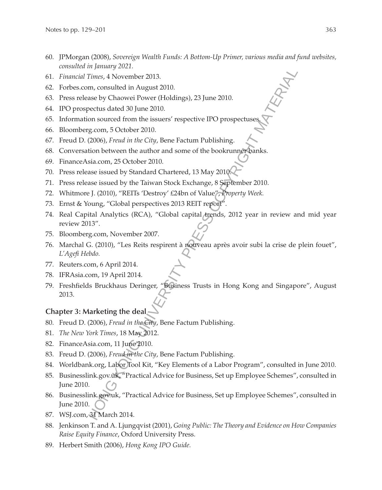- 60. JPMorgan (2008), *Sovereign Wealth Funds: A Bottom-Up Primer, various media and fund websites, consulted in January 2021.*
- 61. *Financial Times*, 4 November 2013.
- 62. Forbes.com, consulted in August 2010.
- 63. Press release by Chaowei Power (Holdings), 23 June 2010.
- 64. IPO prospectus dated 30 June 2010.
- 65. Information sourced from the issuers' respective IPO prospectus
- 66. Bloomberg.com, 5 October 2010.
- 67. Freud D. (2006), *Freud in the City*, Bene Factum Publishing.
- 68. Conversation between the author and some of the bookrunner banks.
- 69. FinanceAsia.com, 25 October 2010.
- 70. Press release issued by Standard Chartered, 13 May 2010.
- 71. Press release issued by the Taiwan Stock Exchange, 8 September 2010.
- 72. Whitmore J. (2010), "REITs 'Destroy' £24bn of Value", *Property Week.*
- 73. Ernst & Young, "Global perspectives 2013 REIT report".
- 74. Real Capital Analytics (RCA), "Global capital trends, 2012 year in review and mid year review 2013".
- 75. Bloomberg.com, November 2007.
- 76. Marchal G. (2010), "Les Reits respirent à nouveau après avoir subi la crise de plein fouet", *L'Agefi Hebdo.*
- 77. Reuters.com, 6 April 2014.
- 78. IFRAsia.com, 19 April 2014.
- 79. Freshfields Bruckhaus Deringer, "Business Trusts in Hong Kong and Singapore", August 2013. m/mmary 2021:<br>
men/sulted in August 2010.<br>
Times, 4 November 2013.<br>
m, consulted in August 2010.<br>
menced from the issuers' respective IPO prospectuses<br>
g.com, 5 October 2010.<br>
cordings). *Firul in the City, Bene Factum Pub*

#### **Chapter 3: Marketing the deal**

- 80. Freud D. (2006), *Freud in the City*, Bene Factum Publishing.
- 81. *The New York Times*, 18 May 2012.
- 82. FinanceAsia.com, 11 June 2010.
- 83. Freud D. (2006), *Freud in the City*, Bene Factum Publishing.
- 84. Worldbank.org, Labor Tool Kit, "Key Elements of a Labor Program", consulted in June 2010.
- 85. Businesslink.gov.uk, "Practical Advice for Business, Set up Employee Schemes", consulted in June 2010.
- 86. Businesslink.gov.uk, "Practical Advice for Business, Set up Employee Schemes", consulted in June 2010.
- 87. WSJ.com, 31 March 2014.
- 88. Jenkinson T. and A. Ljungqvist (2001), *Going Public: The Theory and Evidence on How Companies Raise Equity Finance*, Oxford University Press.
- 89. Herbert Smith (2006), *Hong Kong IPO Guide.*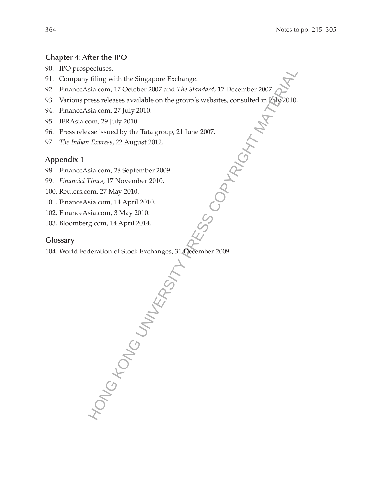#### **Chapter 4: After the IPO**

- 90. IPO prospectuses.
- 91. Company filing with the Singapore Exchange.
- 92. FinanceAsia.com, 17 October 2007 and *The Standard*, 17 December 2007.
- 93. Various press releases available on the group's websites, consulted in July 2010.<br>
94. Finance Asia.com, 29 July 2010.<br>
95. IFRAsia.com, 29 July 2010.<br>
96. Press release issued by the Tata group, 21 June 2007.<br>
97. The
- 94. FinanceAsia.com, 27 July 2010.
- 95. IFRAsia.com, 29 July 2010.
- 96. Press release issued by the Tata group, 21 June 2007.
- 97. *The Indian Express*, 22 August 2012.

#### **Appendix 1**

- 98. FinanceAsia.com, 28 September 2009.
- 99. *Financial Times*, 17 November 2010.
- 100. Reuters.com, 27 May 2010.
- 101. FinanceAsia.com, 14 April 2010.
- 102. FinanceAsia.com, 3 May 2010.
- 103. Bloomberg.com, 14 April 2014.

#### **Glossary**

104. World Federation of Stock Exchanges, 31 December 2009.

HONG KONG UNIVERSITY PRESS COPYRIGHT MATERIAL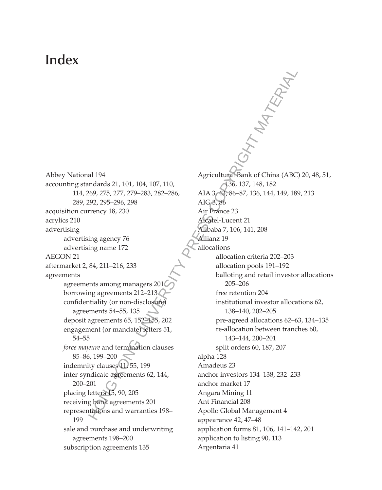# **Index**

Abbey National 194 accounting standards 21, 101, 104, 107, 110, 114, 269, 275, 277, 279–283, 282–286, 289, 292, 295–296, 298 acquisition currency 18, 230 acrylics 210 advertising advertising agency 76 advertising name 172 AEGON 21 aftermarket 2, 84, 211–216, 233 agreements agreements among managers 201 borrowing agreements 212–213 confidentiality (or non-disclosure) agreements 54–55, 135 deposit agreements 65, 152–155, 202 engagement (or mandate) letters 51, 54–55 *force majeure* and termination clauses 85–86, 199–200 indemnity clauses 11, 55, 199 inter-syndicate agreements 62, 144, 200–201 placing letters 15, 90, 205 receiving bank agreements 201 representations and warranties 198– 199 sale and purchase and underwriting agreements 198–200 subscription agreements 135

Agricultural Bank of China (ABC) 20, 48, 51, 136, 137, 148, 182 AIA 3, 43, 86–87, 136, 144, 149, 189, 213 AIG 3, 86 Air France 23 Alcatel-Lucent 21 Alibaba 7, 106, 141, 208 Allianz 19 allocations allocation criteria 202–203 allocation pools 191–192 balloting and retail investor allocations 205–206 free retention 204 institutional investor allocations 62, 138–140, 202–205 pre-agreed allocations 62–63, 134–135 re-allocation between tranches 60, 143–144, 200–201 split orders 60, 187, 207 alpha 128 Amadeus 23 anchor investors 134–138, 232–233 anchor market 17 Angara Mining 11 Ant Financial 208 Apollo Global Management 4 appearance 42, 47–48 application forms 81, 106, 141–142, 201 application to listing 90, 113 Argentaria 41 al 194<br>
al 194<br>
mdards 21, 101, 104, 107, 110,<br>
mg (Agricultura Bank of China (ABC)<br>
mg (195, 275, 277, 279–283, 282–286,<br>
AIA 343-86–87, 136, 144, 149, 189<br>
mency 18, 230<br>
mency 28<br>
mency 28<br>
mency 26<br>
ACA: 106, 141, 208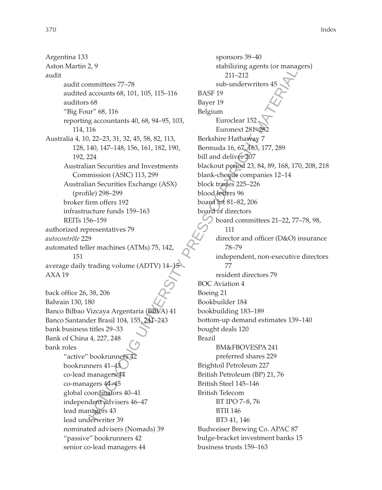Argentina 133 Aston Martin 2, 9 audit audit committees 77–78 audited accounts 68, 101, 105, 115–116 auditors 68 "Big Four" 68, 116 reporting accountants 40, 68, 94–95, 103, 114, 116 Australia 4, 10, 22–23, 31, 32, 45, 58, 82, 113, 128, 140, 147–148, 156, 161, 182, 190, 192, 224 Australian Securities and Investments Commission (ASIC) 113, 299 Australian Securities Exchange (ASX) (profile) 298–299 broker firm offers 192 infrastructure funds 159–163 REITs 156–159 authorized representatives 79 *autocontrôle* 229 automated teller machines (ATMs) 75, 142, 151 average daily trading volume (ADTV) 14 AXA 19 back office 26, 38, 206 Bahrain 130, 180 Banco Bilbao Vizcaya Argentaria (BBVA) 41 Banco Santander Brasil 104, 155, 241–243 bank business titles 29–33 Bank of China 4, 227, 248 bank roles "active" bookrunners bookrunners 41–43 co-lead managers 44 co-managers 44–45 global coordinators 40–41 independent advisers 46–47 lead managers 43

lead underwriter 39

nominated advisers (Nomads) 39 "passive" bookrunners 42 senior co-lead managers 44

sponsors 39–40 stabilizing agents (or managers) 211–212 sub-underwriters 45 BASF 19 Bayer 19 Belgium Euroclear 152 Euronext 281-28 Berkshire Hathaway 7 Bermuda 16, 67, 163, 177, 289 bill and deliver 207 blackout period 23, 84, 89, 168, 170, 208, 218 blank-cheque companies 12–14 block trades 225–226 blood letters 96 board lot 81–82, 206 board of directors board committees 21–22, 77–78, 98, 111 director and officer (D&O) insurance 78–79 independent, non-executive directors 77 resident directors 79 BOC Aviation 4 Boeing 21 Bookbuilder 184 bookbuilding 183–189 bottom-up demand estimates 139–140 bought deals 120 Brazil BM&FBOVESPA 241 preferred shares 229 Brightoil Petroleum 227 British Petroleum (BP) 21, 76 British Steel 145–146 British Telecom BT IPO 7–8, 76 BTII 146 BT3 41, 146 Budweiser Brewing Co. APAC 87 bulge-bracket investment banks 15 business trusts 159–163 2, 7<br>
assumittees 77–78<br>
accounts 68, 101, 105, 115–116<br>
accounts 68, 101, 105, 115–116<br>
accounts 68, 101, 105, 115–116<br>
Bolytim<br>
106 assumption<br>
106 assumption<br>
22-22, 31, 32, 45, 58, 82, 113,<br>
Bolytim<br>
22-22, 31, 32, 4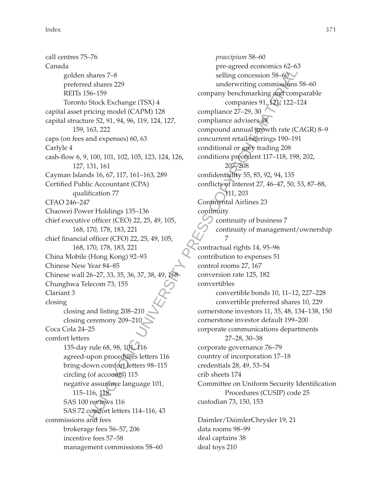call centres 75–76 Canada golden shares 7–8 preferred shares 229 REITs 156–159 Toronto Stock Exchange (TSX) 4 capital asset pricing model (CAPM) 128 capital structure 52, 91, 94, 96, 119, 124, 127, 159, 163, 222 caps (on fees and expenses) 60, 63 Carlyle 4 cash-flow 6, 9, 100, 101, 102, 105, 123, 124, 126, 127, 131, 161 Cayman Islands 16, 67, 117, 161–163, 289 Certified Public Accountant (CPA) qualification 77 CFAO 246–247 Chaowei Power Holdings 135–136 chief executive officer (CEO) 22, 25, 49, 105, 168, 170, 178, 183, 221 chief financial officer (CFO) 22, 25, 49, 105, 168, 170, 178, 183, 221 China Mobile (Hong Kong) 92–93 Chinese New Year 84–85 Chinese wall 26–27, 33, 35, 36, 37, 38, 49, 168 Chunghwa Telecom 73, 155 Clariant 3 closing closing and listing 208-21 closing ceremony 209–210 Coca Cola 24–25 comfort letters 135-day rule 68, 98, 101, 116 agreed-upon procedures letters 116 bring-down comfort letters 98–115 circling (of accounts) 115 negative assurance language 101, 115–116, 118 SAS 100 reviews 116 SAS 72 comfort letters 114–116, 43 commissions and fees brokerage fees 56–57, 206 incentive fees 57–58 management commissions 58–60

*praecipium* 58–60 pre-agreed economics 62–63 selling concession 58–60 underwriting commissions 58–60 company benchmarking and comparable companies 91, 121, 122–124 compliance 27–29, 30 compliance advisers 48 compound annual growth rate (CAGR) 8–9 concurrent retail offerings 190–191 conditional or grey trading 208 conditions precedent 117–118, 198, 202, 207–208 confidentiality 55, 85, 92, 94, 135 conflicts of interest 27, 46–47, 50, 53, 87–88, 111, 203 Continental Airlines 23 continuity  $\bigcirc$  continuity of business 7 continuity of management/ownership 7 contractual rights 14, 95–96 contribution to expenses 51 control rooms 27, 167 conversion rate 125, 182 convertibles convertible bonds 10, 11–12, 227–228 convertible preferred shares 10, 229 cornerstone investors 11, 35, 48, 134–138, 150 cornerstone investor default 199–200 corporate communications departments 27–28, 30–38 corporate governance 76–79 country of incorporation 17–18 credentials 28, 49, 53–54 crib sheets 174 Committee on Uniform Security Identification Procedures (CUSIP) code 25 custodian 73, 150, 153 Ahares 7-8<br>  $\mu$ -hares 2-9<br>
selling concession 58-effect<br>
Sicols Self-<br>
Sicols Exchange (TSX) 4<br>
ompanies 91,42(i) 122-<br>
rec 52, 91, 94, 96, 119, 124, 127,<br>
compliance advisenes  $\frac{3\sqrt{2}}{2}$ <br>
(and expresses) 60, 63<br>
com

Daimler/DaimlerChrysler 19, 21 data rooms 98–99 deal captains 38 deal toys 210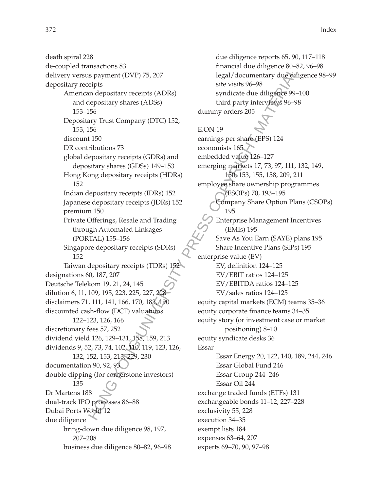death spiral 228 de-coupled transactions 83 delivery versus payment (DVP) 75, 207 depositary receipts American depositary receipts (ADRs) and depositary shares (ADSs) 153–156 Depositary Trust Company (DTC) 152, 153, 156 discount 150 DR contributions 73 global depositary receipts (GDRs) and depositary shares (GDSs) 149–153 Hong Kong depositary receipts (HDRs) 152 Indian depositary receipts (IDRs) 152 Japanese depositary receipts (JDRs) 152 premium 150 Private Offerings, Resale and Trading through Automated Linkages (PORTAL) 155–156 Singapore depositary receipts (SDRs) 152 Taiwan depositary receipts (TDRs) 1, designations 60, 187, 207 Deutsche Telekom 19, 21, 24, 145 dilution 6, 11, 109, 195, 223, 225, 227, 228 disclaimers 71, 111, 141, 166, 170, 183, 190 discounted cash-flow (DCF) valuations 122–123, 126, 166 discretionary fees 57, 252 dividend yield 126, 129–131, 158, 159, 213 dividends 9, 52, 73, 74, 102, 110, 119, 123, 126, 132, 152, 153, 213, 229, 230 documentation 90, 92, 93 double dipping (for cornerstone investors) 135 Dr Martens 188 dual-track IPO processes 86–88 Dubai Ports World 12 due diligence bring-down due diligence 98, 197, 207–208 business due diligence 80–82, 96–98

due diligence reports 65, 90, 117–118 financial due diligence 80–82, 96–98 legal/documentary due diligence 98–99 site visits 96–98 syndicate due diligence 99–100 third party interviews 96–98 dummy orders 205 E.ON 19 earnings per share (EPS) 124 economists 165 embedded value 126–127 emerging markets 17, 73, 97, 111, 132, 149, 150, 153, 155, 158, 209, 211 employee share ownership programmes (ESOPs) 70, 193–195 Company Share Option Plans (CSOPs) 195 Enterprise Management Incentives (EMIs) 195 Save As You Earn (SAYE) plans 195 Share Incentive Plans (SIPs) 195 enterprise value (EV) EV, definition 124–125 EV/EBIT ratios 124–125 EV/EBITDA ratios 124–125 EV/sales ratios 124–125 equity capital markets (ECM) teams 35–36 equity corporate finance teams 34–35 equity story (or investment case or market positioning) 8–10 equity syndicate desks 36 Essar Essar Energy 20, 122, 140, 189, 244, 246 Essar Global Fund 246 Essar Group 244–246 Essar Oil 244 exchange traded funds (ETFs) 131 exchangeable bonds 11–12, 227–228 exclusivity 55, 228 execution 34–35 exempt lists 184 expenses 63–64, 207 experts 69–70, 90, 97–98 Associates to the street of CBS (112, 2017)<br>
Suppose the paper of the street of the street of the street of the street of the street of the street of the street of the street of the street (GDSs) and economists 165<br>
Any T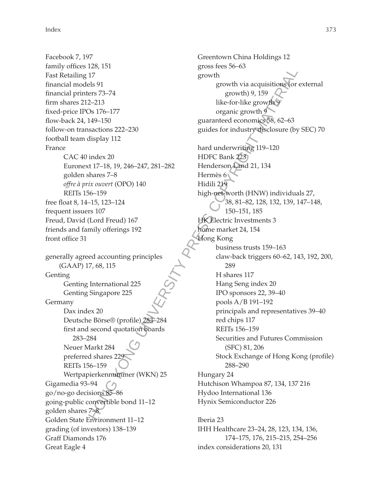Facebook 7, 197 family offices 128, 151 Fast Retailing 17 financial models 91 financial printers 73–74 firm shares 212–213 fixed-price IPOs 176–177 flow-back 24, 149–150 follow-on transactions 222–230 football team display 112 France CAC 40 index 20 Euronext 17–18, 19, 246–247, 281–282 golden shares 7–8 *offre à prix ouvert* (OPO) 140 REITs 156–159 free float 8, 14–15, 123–124 frequent issuers 107 Freud, David (Lord Freud) 167 friends and family offerings 192 front office 31 generally agreed accounting principles (GAAP) 17, 68, 115 Genting Genting International 225 Genting Singapore 225 Germany Dax index 20 Deutsche Börse® (profile) 283–284 first and second quotation boards 283–284 Neuer Markt 284 preferred shares 229 REITs 156–159 Wertpapierkennummer (WKN) 25 Gigamedia 93–94 go/no-go decisions 85–86 going-public convertible bond 11–12 golden shares 7–8 Golden State Environment 11–12 grading (of investors) 138–139 Graff Diamonds 176 Great Eagle 4

Greentown China Holdings 12 gross fees 56–63 growth growth via acquisitions (or external growth) 9, 159 like-for-like growth 9 organic growth 9 guaranteed economics 58, 62–63 guides for industry disclosure (by SEC) 70 hard underwriting 119–120 HDFC Bank 223 Henderson Land 21, 134 Hermès 6 Hidili 219 high-net-worth (HNW) individuals 27, 38, 81–82, 128, 132, 139, 147–148, 150–151, 185 HK Electric Investments 3 home market 24, 154 Hong Kong business trusts 159–163 claw-back triggers 60–62, 143, 192, 200, 289 H shares 117 Hang Seng index 20 IPO sponsors 22, 39–40 pools A/B 191–192 principals and representatives 39–40 red chips 117 REITs 156–159 Securities and Futures Commission (SFC) 81, 206 Stock Exchange of Hong Kong (profile) 288–290 Hungary 24 Hutchison Whampoa 87, 134, 137 216 Hydoo International 136 Hynix Semiconductor 226 Hong Street Stress Copyright 11 and the formulation of the 1150-151<br>
17 applies to the formulation of the formulation of the formulation of the formulation (properties and the formulation of the formulation of the formula

Iberia 23 IHH Healthcare 23–24, 28, 123, 134, 136, 174–175, 176, 215–215, 254–256 index considerations 20, 131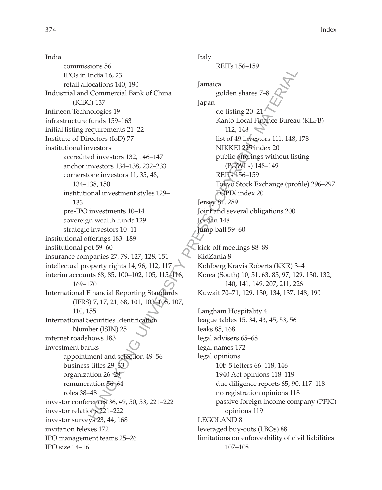India commissions 56 IPOs in India 16, 23 retail allocations 140, 190 Industrial and Commercial Bank of China (ICBC) 137 Infineon Technologies 19 infrastructure funds 159–163 initial listing requirements 21–22 Institute of Directors (IoD) 77 institutional investors accredited investors 132, 146–147 anchor investors 134–138, 232–233 cornerstone investors 11, 35, 48, 134–138, 150 institutional investment styles 129– 133 pre-IPO investments 10–14 sovereign wealth funds 129 strategic investors 10–11 institutional offerings 183–189 institutional pot 59–60 insurance companies 27, 79, 127, 128, 151 intellectual property rights 14, 96, 112, 117 interim accounts 68, 85, 100–102, 105, 115–116, 169–170 International Financial Reporting Standards (IFRS) 7, 17, 21, 68, 101, 103–105, 107, 110, 155 International Securities Identification Number (ISIN) 25 internet roadshows 183 investment banks appointment and selection 49–56 business titles 29–33 organization 26–29 remuneration 56–64 roles 38–48 investor conferences 36, 49, 50, 53, 221–222 investor relations 221–222 investor surveys 23, 44, 168 invitation telexes 172 IPO management teams 25–26 IPO size 14–16 solarios (1992)<br>
Analis 16,23<br>
Commercial Bank of China<br>
Commercial Bank of China<br>
2010ens and 2010ens shares 7–8<br>
tunds 159–163<br>
tunds 159–163<br>
112. 112. 148<br>
tunds 159–163<br>
112. 112. 112. 148<br>
NEWER 22 Prince Records (10

Italy REITs 156–159 Jamaica golden shares 7–8 Japan de-listing 20–21 Kanto Local Finance Bureau (KLFB) 112, 148 list of 49 investors 111, 148, 178 NIKKEI 225 index 20 public offerings without listing (POWLs) 148–149 REITs 156–159 Tokyo Stock Exchange (profile) 296–297 TOPIX index 20 Jersey 81, 289 Joint and several obligations 200 Jordan 148 jump ball 59–60 kick-off meetings 88–89 KidZania 8 Kohlberg Kravis Roberts (KKR) 3–4 Korea (South) 10, 51, 63, 85, 97, 129, 130, 132, 140, 141, 149, 207, 211, 226 Kuwait 70–71, 129, 130, 134, 137, 148, 190 Langham Hospitality 4

league tables 15, 34, 43, 45, 53, 56 leaks 85, 168 legal advisers 65–68 legal names 172 legal opinions 10b-5 letters 66, 118, 146 1940 Act opinions 118–119 due diligence reports 65, 90, 117–118 no registration opinions 118 passive foreign income company (PFIC) opinions 119 LEGOLAND 8 leveraged buy-outs (LBOs) 88 limitations on enforceability of civil liabilities 107–108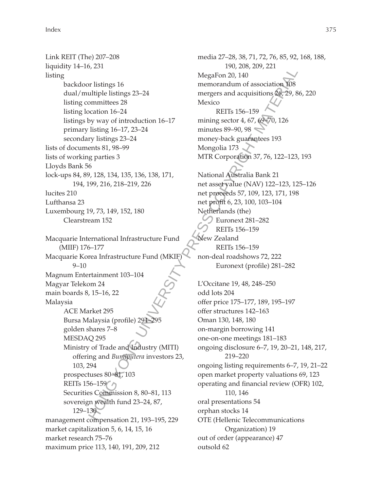Index 375

Link REIT (The) 207–208 liquidity 14–16, 231 listing backdoor listings 16 dual/multiple listings 23–24 listing committees 28 listing location 16–24 listings by way of introduction 16–17 primary listing 16–17, 23–24 secondary listings 23–24 lists of documents 81, 98–99 lists of working parties 3 Lloyds Bank 56 lock-ups 84, 89, 128, 134, 135, 136, 138, 171, 194, 199, 216, 218–219, 226 lucites 210 Lufthansa 23 Luxembourg 19, 73, 149, 152, 180 Clearstream 152

Macquarie International Infrastructure Fund (MIIF) 176–177 Macquarie Korea Infrastructure Fund (MKIF) 9–10 Magnum Entertainment 103–104 Magyar Telekom 24 main boards 8, 15–16, 22 Malaysia ACE Market 295 Bursa Malaysia (profile) golden shares 7–8 MESDAQ 295 Ministry of Trade and Industry (MITI) offering and *Bumiputera* investors 23, 103, 294 prospectuses 80–81, 103 REITs 156–159 Securities Commission 8, 80–81, 113 sovereign wealth fund 23–24, 87, 129–130 management compensation 21, 193–195, 229 market capitalization 5, 6, 14, 15, 16 market research 75–76 maximum price 113, 140, 191, 209, 212

media 27–28, 38, 71, 72, 76, 85, 92, 168, 188, 190, 208, 209, 221 MegaFon 20, 140 memorandum of association 108 mergers and acquisitions 26, 29, 86, 220 Mexico REITs 156–159 mining sector 4, 67, 69–70, 126 minutes 89–90, 98 money-back guarantees 193 Mongolia 173 MTR Corporation 37, 76, 122–123, 193 National Australia Bank 21 net asset value (NAV) 122–123, 125–126 net proceeds 57, 109, 123, 171, 198 net profit 6, 23, 100, 103–104 Netherlands (the) Euronext 281–282 REITs 156–159 New Zealand REITs 156–159 non-deal roadshows 72, 222 Euronext (profile) 281–282 L'Occitane 19, 48, 248–250 odd lots 204 offer price 175–177, 189, 195–197 offer structures 142–163 Oman 130, 148, 180 on-margin borrowing 141 one-on-one meetings 181–183 ongoing disclosure 6–7, 19, 20–21, 148, 217, 219–220 ongoing listing requirements 6–7, 19, 21–22 open market property valuations 69, 123 operating and financial review (OFR) 102, 110, 146 oral presentations 54 orphan stocks 14 OTE (Hellenic Telecommunications Organization) 19 out of order (appearance) 47 9, 2011<br>
Histings 16<br>
megrans and equation of second to method to the containing sector 4, 67, 68<br>
by way of introduction 16–17<br>
minimus sector 4, 67, 68<br>
by more per sector 4, 67, 68<br>
by the internal money-back guadante

outsold 62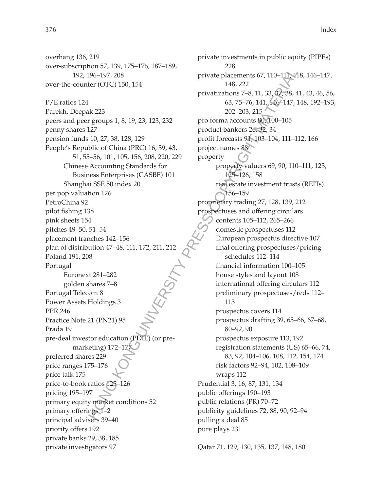over-subscription 57, 139, 175–176, 187–189, 192, 196–197, 208 over-the-counter (OTC) 150, 154 P/E ratios 124 Parekh, Deepak 223 peers and peer groups 1, 8, 19, 23, 123, 232 penny shares 127 pension funds 10, 27, 38, 128, 129 People's Republic of China (PRC) 16, 39, 43, 51, 55–56, 101, 105, 156, 208, 220, 229 Chinese Accounting Standards for Business Enterprises (CASBE) 101 Shanghai SSE 50 index 20 per pop valuation 126 PetroChina 92 pilot fishing 138 pink sheets 154 pitches 49–50, 51–54 placement tranches 142–156 plan of distribution 47–48, 111, 172, 211, 212 Poland 191, 208 Portugal Euronext 281–282 golden shares 7–8 Portugal Telecom 8 Power Assets Holdings 3 PPR 246 Practice Note 21 (PN21) 95 Prada 19 pre-deal investor education (PDIE) (or premarketing) 172–17 preferred shares 229 price ranges 175–176 price talk 175 price-to-book ratios 125–126 pricing 195–197 primary equity market conditions 52 primary offerings 1–2 principal advisers 39–40 priority offers 192 private banks 29, 38, 185 private investigators 97

private investments in public equity (PIPEs) 228 private placements 67, 110–111, 118, 146–147, 148, 222 privatizations 7–8, 11, 33, 37, 38, 41, 43, 46, 56, 63, 75–76, 141, 146–147, 148, 192–193, 202–203, 215 pro forma accounts 80, 100–105 product bankers 26, 32, 34 profit forecasts 91, 103–104, 111–112, 166 project names 88 property property valuers 69, 90, 110–111, 123, 125–126, 158 real estate investment trusts (REITs) 156–159 proprietary trading 27, 128, 139, 212 prospectuses and offering circulars contents 105–112, 265–266 domestic prospectuses 112 European prospectus directive 107 final offering prospectuses/pricing schedules 112–114 financial information 100–105 house styles and layout 108 international offering circulars 112 preliminary prospectuses/reds 112– 113 prospectus covers 114 prospectus drafting 39, 65–66, 67–68, 80–92, 90 prospectus exposure 113, 192 registration statements (US) 65–66, 74, 83, 92, 104–106, 108, 112, 154, 174 risk factors 92–94, 102, 108–109 wraps 112 Prudential 3, 16, 87, 131, 134 public offerings 190–193 public relations (PR) 70–72 publicity guidelines 72, 88, 90, 92–94 pulling a deal 85 pure plays 231 Hotel Street UNIX (1231–28)<br>
Hotel (OTC) 150, 154<br>
Her (OTC) 150, 154<br>
Frivatizations 7-8, 11, 33, 66, 28, 4<br>
(63, 75–76, 141, 466–147, 1<br>
(63, 75–76, 141, 466–147, 1<br>
(63, 75–76, 141, 466–147, 1<br>
(63, 75–76, 141, 466–147

Qatar 71, 129, 130, 135, 137, 148, 180

overhang 136, 219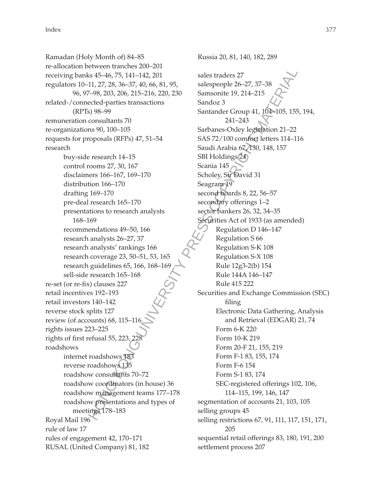Ramadan (Holy Month of) 84–85 re-allocation between tranches 200–201 receiving banks 45–46, 75, 141–142, 201 regulators 10–11, 27, 28, 36–37, 40, 66, 81, 95, 96, 97–98, 203, 206, 215–216, 220, 230 related-/connected-parties transactions (RPTs) 98–99 remuneration consultants 70 re-organizations 90, 100–105 requests for proposals (RFPs) 47, 51–54 research buy-side research 14–15 control rooms 27, 30, 167 disclaimers 166–167, 169–170 distribution 166–170 drafting 169–170 pre-deal research 165–170 presentations to research analysts 168–169 recommendations 49–50, 166 research analysts 26–27, 37 research analysts' rankings 166 research coverage 23, 50–51, 53, 165 research guidelines 65, 166, 168–169 sell-side research 165–168 re-set (or re-fix) clauses 227 retail incentives 192–193 retail investors 140–142 reverse stock splits 127 review (of accounts) 68, 115-11 rights issues 223–225 rights of first refusal 55, 223, 228 roadshows internet roadshows 183 reverse roadshows 135 roadshow consultants 70–72 roadshow coordinators (in house) 36 roadshow management teams 177–178 roadshow presentations and types of meetings 178–183 Royal Mail 196 rule of law 17 rules of engagement 42, 170–171 RUSAL (United Company) 81, 182

sales traders 27 salespeople 26–27, 37–38 Samsonite 19, 214–215 Sandoz 3 Santander Group 41, 104–105, 155, 194, 241–243 Sarbanes-Oxley legislation 21–22 SAS 72/100 comfort letters 114–116 Saudi Arabia 67, 130, 148, 157 SBI Holdings 24 Scania 145 Scholey, Sir David 31 Seagram 19 second boards 8, 22, 56–57 secondary offerings 1–2 sector bankers 26, 32, 34–35 Securities Act of 1933 (as amended) Regulation D 146–147 Regulation S 66 Regulation S-K 108 Regulation S-X 108 Rule 12g3-2(b) 154 Rule 144A 146–147 Rule 415 222 Securities and Exchange Commission (SEC) filing Electronic Data Gathering, Analysis and Retrieval (EDGAR) 21, 74 Form 6-K 220 Form 10-K 219 Form 20-F 21, 155, 219 Form F-1 83, 155, 174 Form F-6 154 Form S-1 83, 174 SEC-registered offerings 102, 106, 114–115, 199, 146, 147 segmentation of accounts 21, 103, 105 selling groups 45 selling restrictions 67, 91, 111, 117, 151, 171, 205 sequential retail offerings 83, 180, 191, 200 EVERTIFINITIES 2003<br>
ATA-16, 75, 141-142, 201<br>
11, 27, 28, 36-5, 37, 40, 66, 81, 95,<br>
17, 27, 28, 36-5, 37, 40, 66, 81, 95,<br>
17, 28, 36, 37, 40, 66, 81, 95, 58, also<br>
consultants 70<br>
241-243<br>
Consultants 70<br>
241-243<br>
Cons

settlement process 207

Russia 20, 81, 140, 182, 289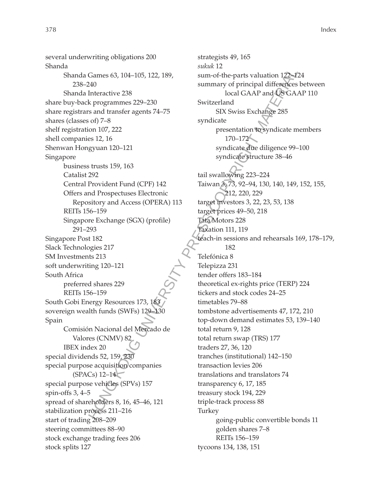several underwriting obligations 200 Shanda Shanda Games 63, 104–105, 122, 189, 238–240 Shanda Interactive 238 share buy-back programmes 229–230 share registrars and transfer agents 74–75 shares (classes of) 7–8 shelf registration 107, 222 shell companies 12, 16 Shenwan Hongyuan 120–121 Singapore business trusts 159, 163 Catalist 292 Central Provident Fund (CPF) 142 Offers and Prospectuses Electronic Repository and Access (OPERA) 113 REITs 156–159 Singapore Exchange (SGX) (profile) 291–293 Singapore Post 182 Slack Technologies 217 SM Investments 213 soft underwriting 120–121 South Africa preferred shares 229 REITs 156–159 South Gobi Energy Resources 173, 183 sovereign wealth funds (SWFs) 129–130 Spain Comisión Nacional del Mercado de Valores (CNMV) 82 IBEX index 20 special dividends 52, 159, 230 special purpose acquisition companies (SPACs) 12–14 special purpose vehicles (SPVs) 157 spin-offs 3, 4–5 spread of shareholders 8, 16, 45–46, 121 stabilization process 211–216 start of trading 208–209 steering committees 88–90 stock exchange trading fees 206 stock splits 127

strategists 49, 165 *sukuk* 12 sum-of-the-parts valuation 122–124 summary of principal differences between local GAAP and US GAAP 110 Switzerland SIX Swiss Exchange 285 syndicate presentation to syndicate members 170–172 syndicate due diligence 99–100 syndicate structure 38–46 tail swallowing 223–224 Taiwan 3, 73, 92–94, 130, 140, 149, 152, 155, 212, 220, 229 target investors 3, 22, 23, 53, 138 target prices 49–50, 218 Tata Motors 228 Taxation 111, 119 teach-in sessions and rehearsals 169, 178–179, 182 Telefónica 8 Telepizza 231 tender offers 183–184 theoretical ex-rights price (TERP) 224 tickers and stock codes 24–25 timetables 79–88 tombstone advertisements 47, 172, 210 top-down demand estimates 53, 139–140 total return 9, 128 total return swap (TRS) 177 traders 27, 36, 120 tranches (institutional) 142–150 transaction levies 206 translations and translators 74 transparency 6, 17, 185 treasury stock 194, 229 triple-track process 88 Turkey going-public convertible bonds 11 golden shares 7–8 REITs 156–159 tycoons 134, 138, 151 Games 63, 104-105, 122, 189<br>
Hareactive 238<br>
Interactive 238<br>
Interactive 238<br>
Interactive 238<br>
Interactive 238<br>
Interactive 238<br>
Interactive 238<br>
Simum of orthogonal differences<br>
or of 7-8<br>
Simum and Consider and Correla